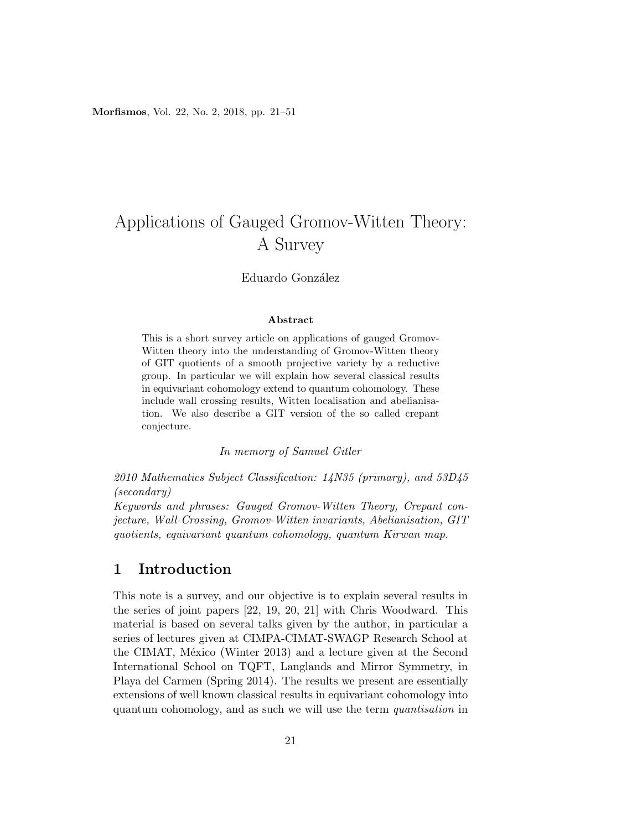Morfismos, Vol. 22, No. 2, 2018, pp. 21–51

# Applications of Gauged Gromov-Witten Theory: A Survey

### Eduardo González

### Abstract

This is a short survey article on applications of gauged Gromov-Witten theory into the understanding of Gromov-Witten theory of GIT quotients of a smooth projective variety by a reductive group. In particular we will explain how several classical results in equivariant cohomology extend to quantum cohomology. These include wall crossing results, Witten localisation and abelianisation. We also describe a GIT version of the so called crepant conjecture.

In memory of Samuel Gitler

2010 Mathematics Subject Classification: 14N35 (primary), and 53D45 (secondary)

Keywords and phrases: Gauged Gromov-Witten Theory, Crepant conjecture, Wall-Crossing, Gromov-Witten invariants, Abelianisation, GIT quotients, equivariant quantum cohomology, quantum Kirwan map.

# 1 Introduction

This note is a survey, and our objective is to explain several results in the series of joint papers [22, 19, 20, 21] with Chris Woodward. This material is based on several talks given by the author, in particular a series of lectures given at CIMPA-CIMAT-SWAGP Research School at the CIMAT, México (Winter 2013) and a lecture given at the Second International School on TQFT, Langlands and Mirror Symmetry, in Playa del Carmen (Spring 2014). The results we present are essentially extensions of well known classical results in equivariant cohomology into quantum cohomology, and as such we will use the term quantisation in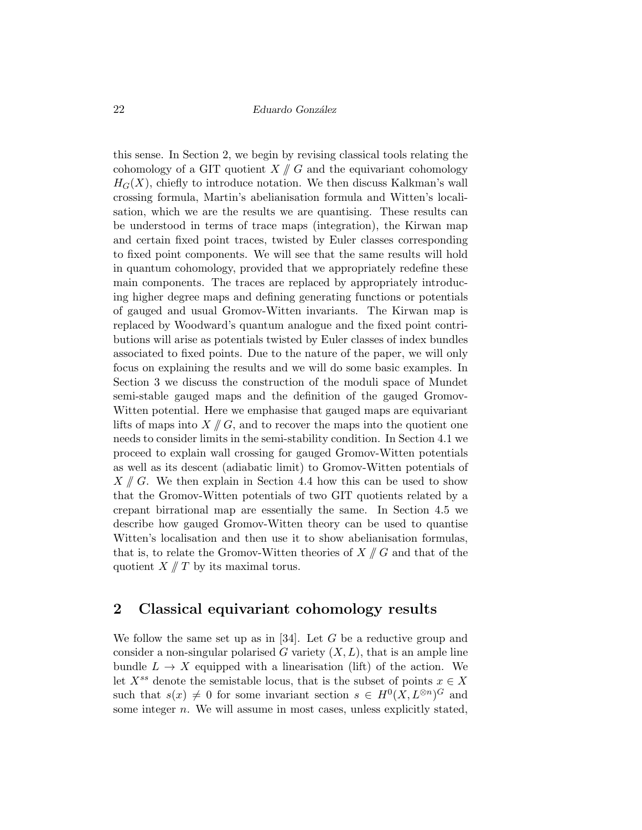this sense. In Section 2, we begin by revising classical tools relating the cohomology of a GIT quotient  $X \nparallel G$  and the equivariant cohomology  $H_G(X)$ , chiefly to introduce notation. We then discuss Kalkman's wall crossing formula, Martin's abelianisation formula and Witten's localisation, which we are the results we are quantising. These results can be understood in terms of trace maps (integration), the Kirwan map and certain fixed point traces, twisted by Euler classes corresponding to fixed point components. We will see that the same results will hold in quantum cohomology, provided that we appropriately redefine these main components. The traces are replaced by appropriately introducing higher degree maps and defining generating functions or potentials of gauged and usual Gromov-Witten invariants. The Kirwan map is replaced by Woodward's quantum analogue and the fixed point contributions will arise as potentials twisted by Euler classes of index bundles associated to fixed points. Due to the nature of the paper, we will only focus on explaining the results and we will do some basic examples. In Section 3 we discuss the construction of the moduli space of Mundet semi-stable gauged maps and the definition of the gauged Gromov-Witten potential. Here we emphasise that gauged maps are equivariant lifts of maps into  $X \nparallel G$ , and to recover the maps into the quotient one needs to consider limits in the semi-stability condition. In Section 4.1 we proceed to explain wall crossing for gauged Gromov-Witten potentials as well as its descent (adiabatic limit) to Gromov-Witten potentials of  $X \nparallel G$ . We then explain in Section 4.4 how this can be used to show that the Gromov-Witten potentials of two GIT quotients related by a crepant birrational map are essentially the same. In Section 4.5 we describe how gauged Gromov-Witten theory can be used to quantise Witten's localisation and then use it to show abelianisation formulas, that is, to relate the Gromov-Witten theories of  $X \mathbin{\parallel} G$  and that of the quotient  $X \nparallel T$  by its maximal torus.

# 2 Classical equivariant cohomology results

We follow the same set up as in  $[34]$ . Let G be a reductive group and consider a non-singular polarised G variety  $(X, L)$ , that is an ample line bundle  $L \to X$  equipped with a linearisation (lift) of the action. We let  $X^{ss}$  denote the semistable locus, that is the subset of points  $x \in X$ such that  $s(x) \neq 0$  for some invariant section  $s \in H^0(X, L^{\otimes n})^G$  and some integer n. We will assume in most cases, unless explicitly stated,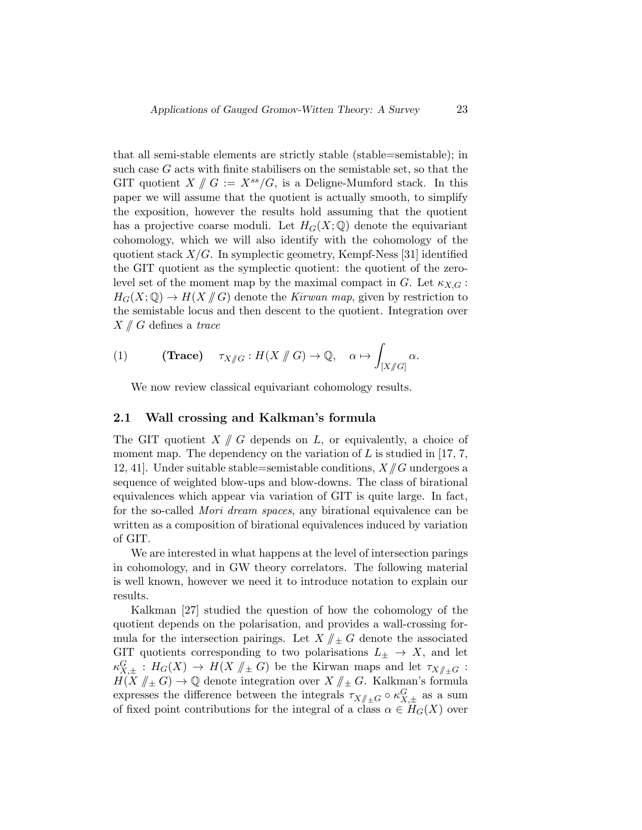that all semi-stable elements are strictly stable (stable=semistable); in such case G acts with finite stabilisers on the semistable set, so that the GIT quotient  $X \nmid G := X^{ss}/G$ , is a Deligne-Mumford stack. In this paper we will assume that the quotient is actually smooth, to simplify the exposition, however the results hold assuming that the quotient has a projective coarse moduli. Let  $H_G(X; \mathbb{Q})$  denote the equivariant cohomology, which we will also identify with the cohomology of the quotient stack  $X/G$ . In symplectic geometry, Kempf-Ness [31] identified the GIT quotient as the symplectic quotient: the quotient of the zerolevel set of the moment map by the maximal compact in G. Let  $\kappa_{X,G}$ :  $H_G(X; \mathbb{Q}) \to H(X \mid G)$  denote the Kirwan map, given by restriction to the semistable locus and then descent to the quotient. Integration over  $X \text{ }\!/ G$  defines a trace

(1) **(Trace)** 
$$
\tau_{X/\!\!/ G}: H(X/\!\!/ G) \to \mathbb{Q}, \quad \alpha \mapsto \int_{[X/\!\!/ G]} \alpha.
$$

We now review classical equivariant cohomology results.

### 2.1 Wall crossing and Kalkman's formula

The GIT quotient  $X \nparallel G$  depends on L, or equivalently, a choice of moment map. The dependency on the variation of  $L$  is studied in [17, 7, 12, 41]. Under suitable stable=semistable conditions,  $X/\!\!/ G$  undergoes a sequence of weighted blow-ups and blow-downs. The class of birational equivalences which appear via variation of GIT is quite large. In fact, for the so-called Mori dream spaces, any birational equivalence can be written as a composition of birational equivalences induced by variation of GIT.

We are interested in what happens at the level of intersection parings in cohomology, and in GW theory correlators. The following material is well known, however we need it to introduce notation to explain our results.

Kalkman [27] studied the question of how the cohomology of the quotient depends on the polarisation, and provides a wall-crossing formula for the intersection pairings. Let  $X/\!\!/_{\pm} G$  denote the associated GIT quotients corresponding to two polarisations  $L_{\pm} \rightarrow X$ , and let  $\kappa_{X,\pm}^G : H_G(X) \to H(X \nparallel_{\pm} G)$  be the Kirwan maps and let  $\tau_{X/\!\parallel_{\pm} G} : H_G(X) \to H(X \nparallel_{\pm} G)$  be the Kirwan maps and let  $\tau_{X/\!\parallel_{\pm} G}$ .  $H(X \nparallel_{\pm} G) \rightarrow \mathbb{Q}$  denote integration over  $X \nparallel_{\pm} G$ . Kalkman's formula expresses the difference between the integrals  $\tau_{X/\pm G} \circ \kappa_{X,\pm}^G$  as a sum of fixed neighborhood for the integral of a class  $\delta_{X,\pm}$  (V) example of fixed point contributions for the integral of a class  $\alpha \in H_G(X)$  over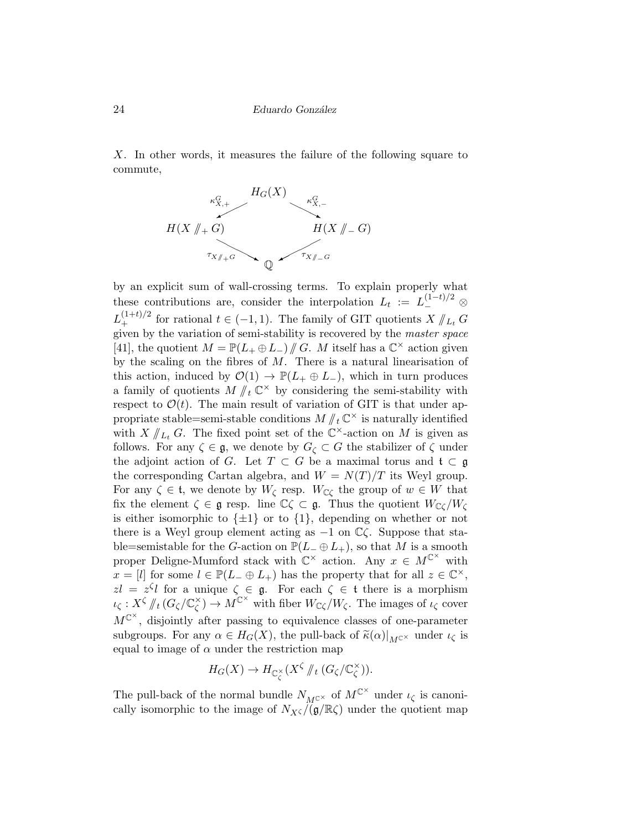X. In other words, it measures the failure of the following square to commute,



by an explicit sum of wall-crossing terms. To explain properly what these contributions are, consider the interpolation  $L_t := L_-^{(1-t)/2} \otimes$  $L_{+}^{(1+t)/2}$  for rational  $t \in (-1,1)$ . The family of GIT quotients  $X \parallel_{L_t} G$ <br>given by the variation of somi stability is negatively by the master angles given by the variation of semi-stability is recovered by the master space [41], the quotient  $M = \mathbb{P}(L_+ \oplus L_-) / \mathbb{P}(G)$ . M itself has a  $\mathbb{C}^\times$  action given by the gasling on the fibres of  $M$ . There is a natural linearisation of by the scaling on the fibres of  $M$ . There is a natural linearisation of this action, induced by  $\mathcal{O}(1) \to \mathbb{P}(L_+ \oplus L_-)$ , which in turn produces a family of quotients  $M \nmid t \mathbb{C}^{\times}$  by considering the semi-stability with respect to  $\mathcal{O}(t)$ . The main result of variation of GIT is that under appropriate stable=semi-stable conditions  $M / \ell \mathbb{C}^{\times}$  is naturally identified with  $X \parallel_{L_t} G$ . The fixed point set of the  $\mathbb{C}^{\times}$ -action on M is given as follows. For any  $\zeta \in \mathfrak{g}$ , we denote by  $G_{\zeta} \subset G$  the stabilizer of  $\zeta$  under the adjoint action of G. Let  $T \subset G$  be a maximal torus and  $\mathfrak{t} \subset \mathfrak{g}$ the corresponding Cartan algebra, and  $W = N(T)/T$  its Weyl group. For any  $\zeta \in \mathfrak{t}$ , we denote by  $W_{\zeta}$  resp.  $W_{\zeta}$  the group of  $w \in W$  that fix the element  $\zeta \in \mathfrak{g}$  resp. line  $\mathbb{C}\zeta \subset \mathfrak{g}$ . Thus the quotient  $W_{\mathbb{C}\zeta}/W_{\zeta}$ is either isomorphic to  $\{\pm 1\}$  or to  $\{1\}$ , depending on whether or not there is a Weyl group element acting as  $-1$  on  $\mathbb{C}\zeta$ . Suppose that stable=semistable for the G-action on  $\mathbb{P}(L_-\oplus L_+)$ , so that M is a smooth proper Deligne-Mumford stack with  $\mathbb{C}^{\times}$  action. Any  $x \in M^{\mathbb{C}^{\times}}$  with  $x = [l]$  for some  $l \in \mathbb{P}(L_- \oplus L_+)$  has the property that for all  $z \in \mathbb{C}^{\times}$ ,  $zl = z^{\zeta}l$  for a unique  $\zeta \in \mathfrak{g}$ . For each  $\zeta \in \mathfrak{t}$  there is a morphism  $\iota_{\zeta}: X^{\zeta} \#_t (G_{\zeta}/\mathbb{C}_{\zeta}^{\times})$  $\chi^{\times}_{\zeta}$   $\rightarrow$   $M^{\mathbb{C}^{\times}}$  with fiber  $W_{\mathbb{C}\zeta}/W_{\zeta}$ . The images of  $\iota_{\zeta}$  cover  $M^{\mathbb{C}^{\times}}$ , disjointly after passing to equivalence classes of one-parameter subgroups. For any  $\alpha \in H_G(X)$ , the pull-back of  $\tilde{\kappa}(\alpha)|_{M^{c^{\times}}}$  under  $\iota_{\zeta}$  is equal to image of  $\alpha$  under the restriction map

$$
H_G(X) \to H_{\mathbb{C}_{\zeta}^{\times}}(X^{\zeta} / \! /_t (G_{\zeta} / \mathbb{C}_{\zeta}^{\times})).
$$

The pull-back of the normal bundle  $N_{M^{C^{\times}}}$  of  $M^{C^{\times}}$  under  $\iota_{\zeta}$  is canonically isomorphic to the image of  $N_{X\zeta}/(\mathfrak{g}/\mathbb{R}\zeta)$  under the quotient map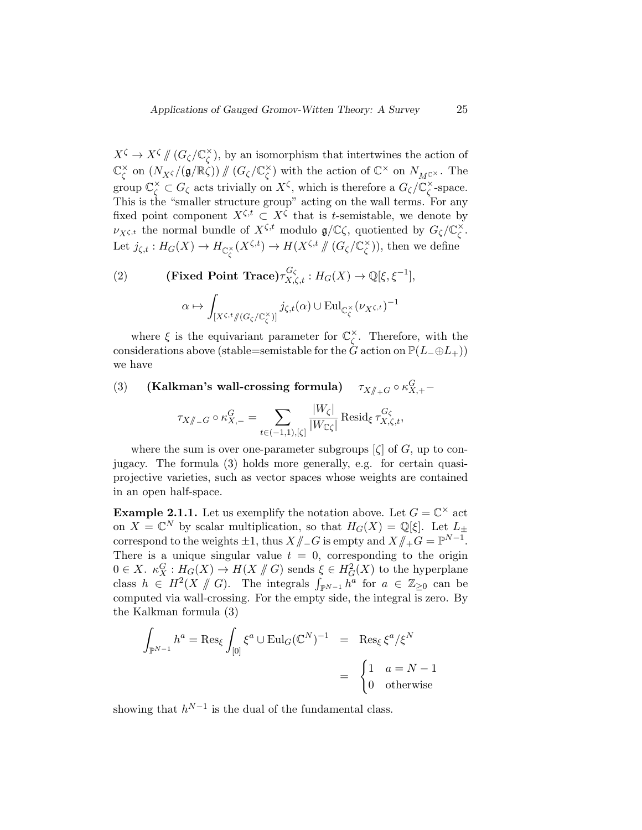$X^{\zeta} \to X^{\zeta} \# (G_{\zeta}/\mathbb{C}_{\zeta}^{\times})$  $\zeta$ ), by an isomorphism that intertwines the action of C ×  $\zeta \text{ on } (N_{X\zeta}/(\mathfrak{g}/\mathbb{R}\zeta)) \mathbin{\#} (G_{\zeta}/\mathbb{C}\zeta)$  $\chi^{\times}$ ) with the action of  $\mathbb{C}^{\times}$  on  $N_{M^{c^{\times}}}$ . The group  $\mathbb{C}_{\zeta}^{\times} \subset G_{\zeta}$  acts trivially on  $X^{\zeta}$ , which is therefore a  $G_{\zeta}/\mathbb{C}_{\zeta}^{\times}$  $\zeta$ -space. This is the "smaller structure group" acting on the wall terms. For any fixed point component  $X^{\zeta,t} \subset X^{\zeta}$  that is t-semistable, we denote by  $\nu_{X^{\zeta,t}}$  the normal bundle of  $X^{\zeta,t}$  modulo  $\mathfrak{g}/\mathbb{C}\zeta$ , quotiented by  $G_{\zeta}/\mathbb{C}\zeta$ ζ . Let  $j_{\zeta,t}: H_G(X) \to H_{\mathbb{C}_{\zeta}^{\times}}(X^{\zeta,t}) \to H(X^{\zeta,t} \nparallel (G_{\zeta}/\mathbb{C}_{\zeta}^{\times}))$  $\binom{x}{\zeta}$ , then we define

(2) (Fixed Point Trace)
$$
\tau_{X,\zeta,t}^{G_{\zeta}} : H_G(X) \to \mathbb{Q}[\xi, \xi^{-1}],
$$
  

$$
\alpha \mapsto \int_{[X^{\zeta,t}/(G_{\zeta}/\mathbb{C}_{\zeta}^{\times})]} j_{\zeta,t}(\alpha) \cup \mathrm{Eul}_{\mathbb{C}_{\zeta}^{\times}}(\nu_{X^{\zeta,t}})^{-1}
$$

where  $\xi$  is the equivariant parameter for  $\mathbb{C}_{\zeta}^{\times}$  $\zeta$ . Therefore, with the considerations above (stable=semistable for the  $\ddot{G}$  action on  $\mathbb{P}(L_-\oplus L_+)$ ) we have

(3) (Kalkman's wall-crossing formula)  $\tau_{X/\!\!/_{+}G} \circ \kappa^G_{X,+}$ -

$$
\tau_{X/\!\!/_{\!-}G}\circ \kappa^G_{X, -}=\sum_{t\in (-1,1),[\zeta]}\frac{|W_\zeta|}{|W_{\mathbb{C}\zeta}|}\operatorname{Resid}_\xi \tau^{G_\zeta}_{X,\zeta,t},
$$

where the sum is over one-parameter subgroups  $[\zeta]$  of G, up to conjugacy. The formula (3) holds more generally, e.g. for certain quasiprojective varieties, such as vector spaces whose weights are contained in an open half-space.

**Example 2.1.1.** Let us exemplify the notation above. Let  $G = \mathbb{C}^\times$  act on  $X = \mathbb{C}^N$  by scalar multiplication, so that  $H_G(X) = \mathbb{Q}[\xi]$ . Let  $L_{\pm}$ correspond to the weights  $\pm 1$ , thus  $X/\!\!/_{-}G$  is empty and  $X/\!\!/_{+}G = \mathbb{P}^{N-1}$ .<br>There is a unique singular value  $t = 0$  corresponding to the evident There is a unique singular value  $t = 0$ , corresponding to the origin  $0 \in X$ .  $\kappa_X^G : H_G(X) \to H(X \nparallel G)$  sends  $\xi \in H_G^2(X)$  to the hyperplane<br>class  $h \in H^{2}(X \nparallel G)$ . The integrals  $\int_{B}^{B}$  for  $g \in \mathbb{Z}$ , sen has class  $h \in H^2(X \nparallel G)$ . The integrals  $\int_{\mathbb{R}^{N-1}} h^a$  for  $a \in \mathbb{Z}_{\geq 0}$  can be computed via well exercise. For the empty side, the integral is zero. By computed via wall-crossing. For the empty side, the integral is zero. By the Kalkman formula (3)

$$
\int_{\mathbb{P}^{N-1}} h^a = \text{Res}_{\xi} \int_{[0]} \xi^a \cup \text{Eul}_G(\mathbb{C}^N)^{-1} = \text{Res}_{\xi} \xi^a / \xi^N
$$

$$
= \begin{cases} 1 & a = N - 1 \\ 0 & \text{otherwise} \end{cases}
$$

showing that  $h^{N-1}$  is the dual of the fundamental class.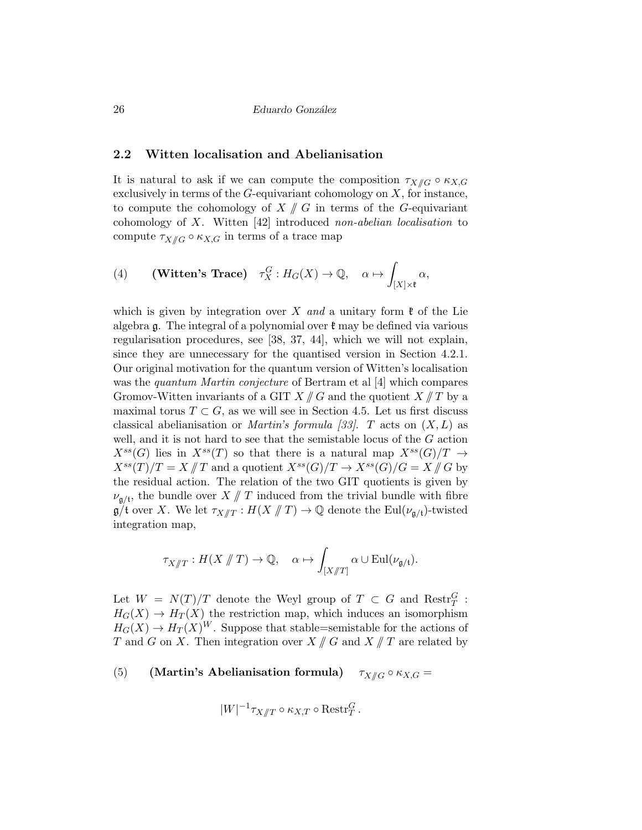### 2.2 Witten localisation and Abelianisation

It is natural to ask if we can compute the composition  $\tau_{X/\!\!/ G} \circ \kappa_{X,G}$ exclusively in terms of the  $G$ -equivariant cohomology on  $X$ , for instance, to compute the cohomology of  $X \nparallel G$  in terms of the G-equivariant cohomology of X. Witten [42] introduced non-abelian localisation to compute  $\tau_{X/\!\!/ G} \circ \kappa_{X,G}$  in terms of a trace map

(4) (Witten's Trace) 
$$
\tau_X^G : H_G(X) \to \mathbb{Q}, \quad \alpha \mapsto \int_{[X] \times \mathfrak{k}} \alpha
$$
,

which is given by integration over X and a unitary form  $\mathfrak k$  of the Lie algebra  $\mathfrak{g}$ . The integral of a polynomial over  $\mathfrak{k}$  may be defined via various regularisation procedures, see [38, 37, 44], which we will not explain, since they are unnecessary for the quantised version in Section 4.2.1. Our original motivation for the quantum version of Witten's localisation was the *quantum Martin conjecture* of Bertram et al [4] which compares Gromov-Witten invariants of a GIT  $X/\!\!/ G$  and the quotient  $X/\!\!/ T$  by a maximal torus  $T \subset G$ , as we will see in Section 4.5. Let us first discuss classical abelianisation or *Martin's formula [33]*. T acts on  $(X, L)$  as well, and it is not hard to see that the semistable locus of the G action  $X^{ss}(G)$  lies in  $X^{ss}(T)$  so that there is a natural map  $X^{ss}(G)/T \rightarrow$  $X^{ss}(T)/T = X \# T$  and a quotient  $X^{ss}(G)/T \to X^{ss}(G)/G = X \# G$  by the residual action. The relation of the two GIT quotients is given by  $\nu_{g/t}$ , the bundle over  $X \nparallel T$  induced from the trivial bundle with fibre  $\mathfrak{g}/\mathfrak{t}$  over X. We let  $\tau_{X/\!\!/T} : H(X/\!\!/T) \to \mathbb{Q}$  denote the Eul $(\nu_{\mathfrak{g}/\mathfrak{t}})$ -twisted integration map,

$$
\tau_{X/\!\!/ T}: H(X/\!\!/ T) \to \mathbb{Q}, \quad \alpha \mapsto \int_{[X/\!\!/ T]} \alpha \cup \mathrm{Eul}(\nu_{\mathfrak{g}/\mathfrak{t}}).
$$

Let  $W = N(T)/T$  denote the Weyl group of  $T \subset G$  and  $\text{Restr}_{T}^{G}$ :  $H_G(X) \to H_T(X)$  the restriction map, which induces an isomorphism  $H_G(X) \to H_T(X)^W$ . Suppose that stable=semistable for the actions of T and G on X. Then integration over  $X \text{ }\!/ G$  and  $X \text{ }\!/ T$  are related by

(5) (Martin's Abelianisation formula)  $\tau_{X/\!\!/ G} \circ \kappa_{X,G} =$ 

$$
|W|^{-1} \tau_{X/\!\!/ T} \circ \kappa_{X,T} \circ \mathrm{Restr}_T^G.
$$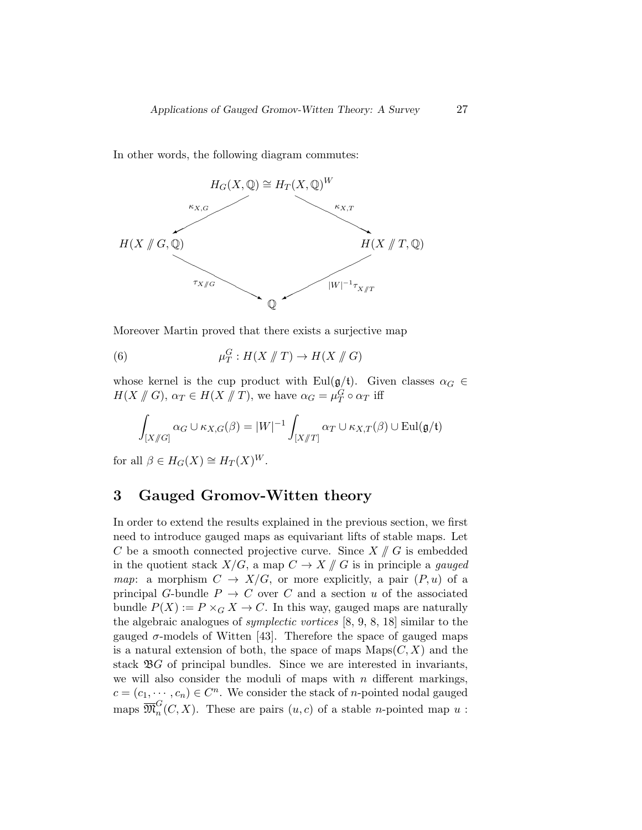In other words, the following diagram commutes:



Moreover Martin proved that there exists a surjective map

(6) 
$$
\mu_T^G: H(X \nparallel T) \to H(X \nparallel G)
$$

whose kernel is the cup product with Eul( $g/t$ ). Given classes  $\alpha_G \in$  $H(X \nparallel G), \alpha_T \in H(X \nparallel T)$ , we have  $\alpha_G = \mu_T^G \circ \alpha_T$  iff

$$
\int_{[X/\!\!/ G]} \alpha_G \cup \kappa_{X,G}(\beta) = |W|^{-1} \int_{[X/\!\!/ T]} \alpha_T \cup \kappa_{X,T}(\beta) \cup \text{Eul}(\mathfrak{g}/\mathfrak{t})
$$

for all  $\beta \in H_G(X) \cong H_T(X)^W$ .

# 3 Gauged Gromov-Witten theory

In order to extend the results explained in the previous section, we first need to introduce gauged maps as equivariant lifts of stable maps. Let C be a smooth connected projective curve. Since  $X \nmid G$  is embedded in the quotient stack  $X/G$ , a map  $C \to X \nparallel G$  is in principle a gauged map: a morphism  $C \to X/G$ , or more explicitly, a pair  $(P, u)$  of a principal G-bundle  $P \rightarrow C$  over C and a section u of the associated bundle  $P(X) := P \times_G X \to C$ . In this way, gauged maps are naturally the algebraic analogues of symplectic vortices [8, 9, 8, 18] similar to the gauged  $\sigma$ -models of Witten [43]. Therefore the space of gauged maps is a natural extension of both, the space of maps  $\text{Maps}(C, X)$  and the stack  $\mathfrak{B}G$  of principal bundles. Since we are interested in invariants, we will also consider the moduli of maps with  $n$  different markings,  $c = (c_1, \dots, c_n) \in C^n$ . We consider the stack of *n*-pointed nodal gauged  $\stackrel{\text{maps}}{\mathfrak{M}}^G_n$  $n(n)$ . These are pairs  $(u, c)$  of a stable *n*-pointed map  $u$ :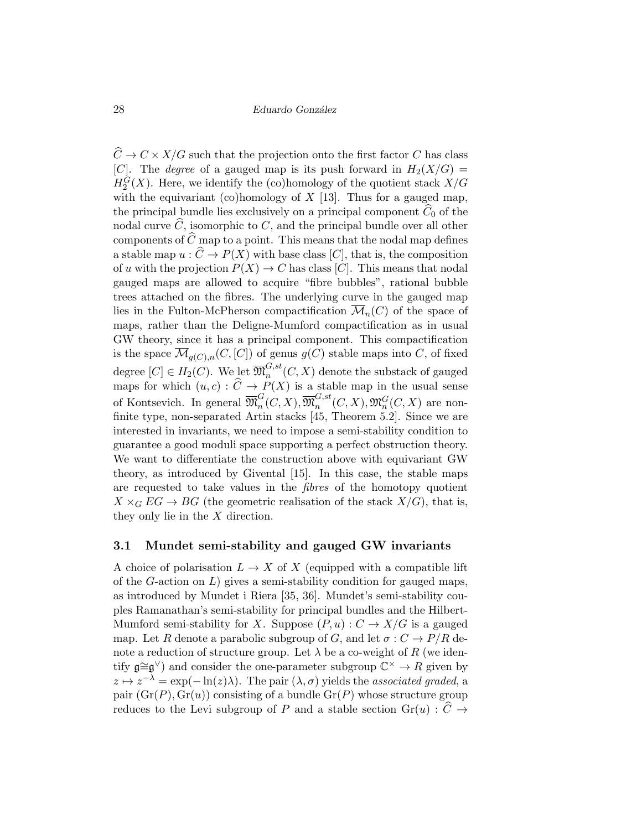$\widehat{C} \to C \times X/G$  such that the projection onto the first factor C has class [C]. The *degree* of a gauged map is its push forward in  $H_2(X/G)$  =  $H_2^G(X)$ . Here, we identify the (co)homology of the quotient stack  $X/G$ with the equivariant (co)homology of  $X$  [13]. Thus for a gauged map, the principal bundle lies exclusively on a principal component  $C_0$  of the nodal curve  $\widehat{C}$ , isomorphic to C, and the principal bundle over all other components of  $\widehat{C}$  map to a point. This means that the nodal map defines a stable map  $u : \widehat{C} \to P(X)$  with base class [C], that is, the composition of u with the projection  $P(X) \to C$  has class [C]. This means that nodal gauged maps are allowed to acquire "fibre bubbles", rational bubble trees attached on the fibres. The underlying curve in the gauged map lies in the Fulton-McPherson compactification  $\mathcal{M}_n(C)$  of the space of maps, rather than the Deligne-Mumford compactification as in usual GW theory, since it has a principal component. This compactification is the space  $\overline{\mathcal{M}}_{g(C),n}(C,[C])$  of genus  $g(C)$  stable maps into C, of fixed degree  $[C] \in H_2(C)$ . We let  $\overline{\mathfrak{M}}_n^{G,st}$  $n^{G,st}(C, X)$  denote the substack of gauged maps for which  $(u, c) : C \to P(X)$  is a stable map in the usual sense of Kontsevich. In general  $\overline{\mathfrak{M}}_n^G$  $_{n}^{G}(C,X),\overline{\mathfrak{M}}_{n}^{G,st}$  $\mathfrak{m}^{G,st}_n(C,X), \mathfrak{M}^G_n(C,X)$  are nonfinite type, non-separated Artin stacks [45, Theorem 5.2]. Since we are interested in invariants, we need to impose a semi-stability condition to guarantee a good moduli space supporting a perfect obstruction theory. We want to differentiate the construction above with equivariant GW theory, as introduced by Givental [15]. In this case, the stable maps are requested to take values in the fibres of the homotopy quotient  $X \times_G EG \to BG$  (the geometric realisation of the stack  $X/G$ ), that is, they only lie in the X direction.

### 3.1 Mundet semi-stability and gauged GW invariants

A choice of polarisation  $L \to X$  of X (equipped with a compatible lift of the  $G$ -action on  $L$ ) gives a semi-stability condition for gauged maps, as introduced by Mundet i Riera [35, 36]. Mundet's semi-stability couples Ramanathan's semi-stability for principal bundles and the Hilbert-Mumford semi-stability for X. Suppose  $(P, u): C \to X/G$  is a gauged map. Let R denote a parabolic subgroup of G, and let  $\sigma: C \to P/R$  denote a reduction of structure group. Let  $\lambda$  be a co-weight of R (we identify  $\mathfrak{g} \cong \mathfrak{g}^{\vee}$  and consider the one-parameter subgroup  $\mathbb{C}^{\times} \to R$  given by  $z \mapsto z^{-\lambda} = \exp(-\ln(z)\lambda)$ . The pair  $(\lambda, \sigma)$  yields the associated graded, a pair  $(Gr(P), Gr(u))$  consisting of a bundle  $Gr(P)$  whose structure group reduces to the Levi subgroup of P and a stable section  $Gr(u) : \widehat{C} \rightarrow$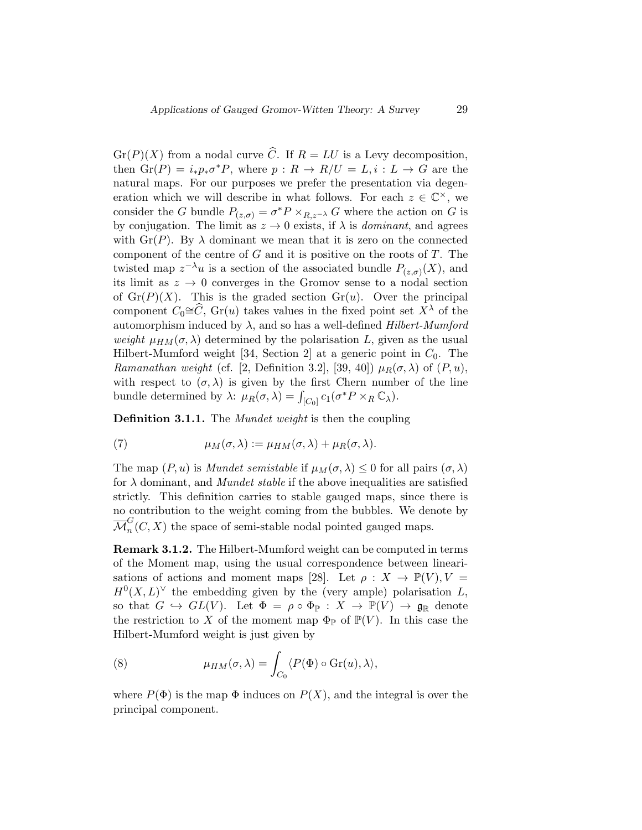$Gr(P)(X)$  from a nodal curve  $\widehat{C}$ . If  $R = LU$  is a Levy decomposition, then  $\operatorname{Gr}(P) = i_* p_* \sigma^* P$ , where  $p : R \to R/U = L, i : L \to G$  are the natural maps. For our purposes we prefer the presentation via degeneration which we will describe in what follows. For each  $z \in \mathbb{C}^{\times}$ , we consider the G bundle  $P_{(z,\sigma)} = \sigma^* P \times_{R,z^{-\lambda}} G$  where the action on G is by conjugation. The limit as  $z \to 0$  exists, if  $\lambda$  is *dominant*, and agrees with  $\text{Gr}(P)$ . By  $\lambda$  dominant we mean that it is zero on the connected component of the centre of  $G$  and it is positive on the roots of  $T$ . The twisted map  $z^{-\lambda}u$  is a section of the associated bundle  $P_{(z,\sigma)}(X)$ , and its limit as  $z \to 0$  converges in the Gromov sense to a nodal section of  $Gr(P)(X)$ . This is the graded section  $Gr(u)$ . Over the principal component  $C_0 \cong \widehat{C}$ , Gr(u) takes values in the fixed point set  $X^{\lambda}$  of the automorphism induced by  $\lambda$ , and so has a well-defined Hilbert-Mumford weight  $\mu_{HM}(\sigma,\lambda)$  determined by the polarisation L, given as the usual Hilbert-Mumford weight [34, Section 2] at a generic point in  $C_0$ . The Ramanathan weight (cf. [2, Definition 3.2], [39, 40])  $\mu_R(\sigma, \lambda)$  of  $(P, u)$ , with respect to  $(\sigma, \lambda)$  is given by the first Chern number of the line bundle determined by  $\lambda$ :  $\mu_R(\sigma, \lambda) = \int_{[C_0]} c_1(\sigma^* P \times_R \mathbb{C}_{\lambda}).$ 

**Definition 3.1.1.** The *Mundet weight* is then the coupling

(7) 
$$
\mu_M(\sigma,\lambda) := \mu_{HM}(\sigma,\lambda) + \mu_R(\sigma,\lambda).
$$

The map  $(P, u)$  is *Mundet semistable* if  $\mu_M(\sigma, \lambda) \leq 0$  for all pairs  $(\sigma, \lambda)$ for  $\lambda$  dominant, and *Mundet stable* if the above inequalities are satisfied strictly. This definition carries to stable gauged maps, since there is no contribution to the weight coming from the bubbles. We denote by  $\overline{\mathcal{M}}_n^G(C,X)$  the space of semi-stable nodal pointed gauged maps.

Remark 3.1.2. The Hilbert-Mumford weight can be computed in terms of the Moment map, using the usual correspondence between linearisations of actions and moment maps [28]. Let  $\rho : X \to \mathbb{P}(V), V =$  $H^0(X, L)^\vee$  the embedding given by the (very ample) polarisation L, so that  $G \hookrightarrow GL(V)$ . Let  $\Phi = \rho \circ \Phi_{\mathbb{P}} : X \to \mathbb{P}(V) \to \mathfrak{g}_{\mathbb{R}}$  denote the restriction to X of the moment map  $\Phi_{\mathbb{P}}$  of  $\mathbb{P}(V)$ . In this case the Hilbert-Mumford weight is just given by

(8) 
$$
\mu_{HM}(\sigma,\lambda) = \int_{C_0} \langle P(\Phi) \circ \text{Gr}(u), \lambda \rangle,
$$

where  $P(\Phi)$  is the map  $\Phi$  induces on  $P(X)$ , and the integral is over the principal component.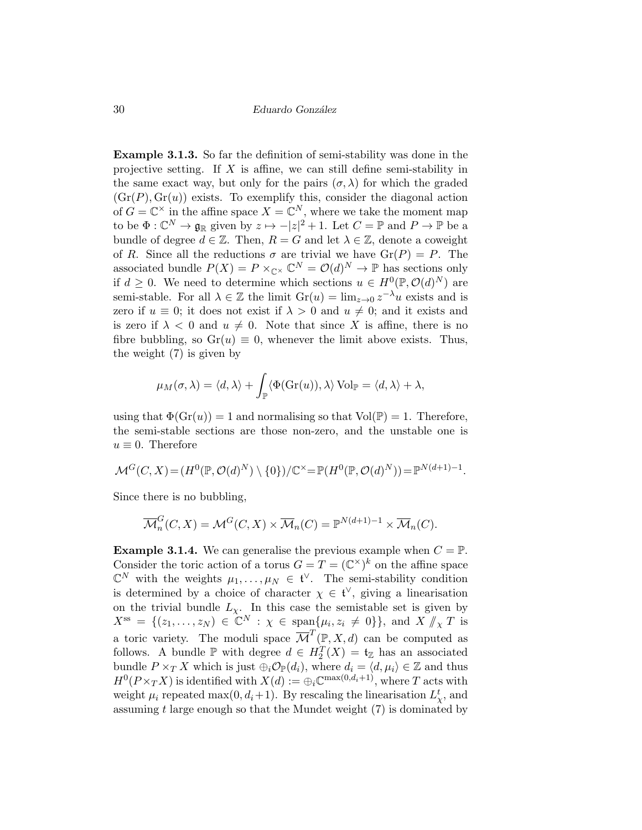Example 3.1.3. So far the definition of semi-stability was done in the projective setting. If  $X$  is affine, we can still define semi-stability in the same exact way, but only for the pairs  $(\sigma, \lambda)$  for which the graded  $(\operatorname{Gr}(P), \operatorname{Gr}(u))$  exists. To exemplify this, consider the diagonal action of  $G = \mathbb{C}^\times$  in the affine space  $X = \mathbb{C}^N$ , where we take the moment map to be  $\Phi: \mathbb{C}^N \to \mathfrak{g}_{\mathbb{R}}$  given by  $z \mapsto -|z|^2 + 1$ . Let  $C = \mathbb{P}$  and  $P \to \mathbb{P}$  be a bundle of degree  $d \in \mathbb{Z}$ . Then,  $R = G$  and let  $\lambda \in \mathbb{Z}$ , denote a coweight of R. Since all the reductions  $\sigma$  are trivial we have  $\text{Gr}(P) = P$ . The associated bundle  $P(X) = P \times_{\mathbb{C}^{\times}} \mathbb{C}^N = \mathcal{O}(d)^N \to \mathbb{P}$  has sections only if  $d \geq 0$ . We need to determine which sections  $u \in H^0(\mathbb{P}, \mathcal{O}(d)^N)$  are semi-stable. For all  $\lambda \in \mathbb{Z}$  the limit  $\text{Gr}(u) = \lim_{z \to 0} z^{-\lambda}u$  exists and is zero if  $u \equiv 0$ ; it does not exist if  $\lambda > 0$  and  $u \neq 0$ ; and it exists and is zero if  $\lambda < 0$  and  $u \neq 0$ . Note that since X is affine, there is no fibre bubbling, so  $Gr(u) \equiv 0$ , whenever the limit above exists. Thus, the weight (7) is given by

$$
\mu_M(\sigma,\lambda) = \langle d,\lambda\rangle + \int_{\mathbb{P}} \langle \Phi(\mathrm{Gr}(u)),\lambda\rangle \mathrm{Vol}_{\mathbb{P}} = \langle d,\lambda\rangle + \lambda,
$$

using that  $\Phi(\text{Gr}(u)) = 1$  and normalising so that  $\text{Vol}(\mathbb{P}) = 1$ . Therefore, the semi-stable sections are those non-zero, and the unstable one is  $u \equiv 0$ . Therefore

$$
\mathcal{M}^G(C, X) = (H^0(\mathbb{P}, \mathcal{O}(d)^N) \setminus \{0\})/\mathbb{C}^{\times} = \mathbb{P}(H^0(\mathbb{P}, \mathcal{O}(d)^N)) = \mathbb{P}^{N(d+1)-1}.
$$

Since there is no bubbling,

$$
\overline{\mathcal{M}}_n^G(C, X) = \mathcal{M}^G(C, X) \times \overline{\mathcal{M}}_n(C) = \mathbb{P}^{N(d+1)-1} \times \overline{\mathcal{M}}_n(C).
$$

**Example 3.1.4.** We can generalise the previous example when  $C = \mathbb{P}$ . Consider the toric action of a torus  $G = T = (\mathbb{C}^{\times})^k$  on the affine space  $\mathbb{C}^N$  with the weights  $\mu_1, \ldots, \mu_N \in \mathfrak{t}^{\vee}$ . The semi-stability condition is determined by a choice of character  $\chi \in \mathfrak{t}^{\vee}$ , giving a linearisation on the trivial bundle  $L_{\chi}$ . In this case the semistable set is given by  $X^{\text{ss}} = \{ (z_1, \ldots, z_N) \in \mathbb{C}^N : \chi \in \text{span}\{\mu_i, z_i \neq 0\} \}, \text{ and } X \nmid \chi T \text{ is}$ a toric variety. The moduli space  $\overline{\mathcal{M}}^T(\mathbb{P},X,d)$  can be computed as follows. A bundle  $\mathbb P$  with degree  $d \in H_2^T(X) = \mathfrak{t}_{\mathbb Z}$  has an associated bundle  $P \times_T X$  which is just  $\bigoplus_i \mathcal{O}_{\mathbb{P}}(d_i)$ , where  $d_i = \langle d, \mu_i \rangle \in \mathbb{Z}$  and thus  $H^0(P\times_T X)$  is identified with  $X(d):=\bigoplus_i \mathbb{C}^{\max(0,d_i+1)}$ , where T acts with weight  $\mu_i$  repeated max $(0, d_i+1)$ . By rescaling the linearisation  $L^t_{\chi}$ , and assuming  $t$  large enough so that the Mundet weight  $(7)$  is dominated by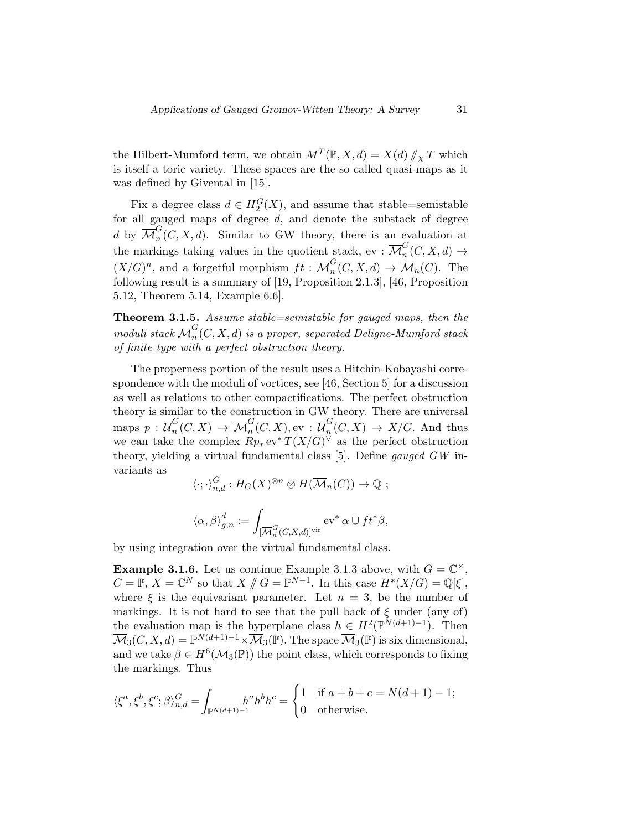the Hilbert-Mumford term, we obtain  $M^T(\mathbb{P}, X, d) = X(d) / \chi T$  which<br>is itself a term veriety. These graces are the so solled supply mane as it is itself a toric variety. These spaces are the so called quasi-maps as it was defined by Givental in [15].

Fix a degree class  $d \in H_2^G(X)$ , and assume that stable=semistable for all gauged maps of degree  $d$ , and denote the substack of degree d by  $\overline{\mathcal{M}}_n^G(C, X, d)$ . Similar to GW theory, there is an evaluation at the markings taking values in the quotient stack, ev :  $\overline{\mathcal{M}}_n^G(C, X, d) \to$  $(X/G)^n$ , and a forgetful morphism  $ft : \overline{\mathcal{M}}_n^G(C, X, d) \to \overline{\mathcal{M}}_n(C)$ . The following result is a summary of [19, Proposition 2.1.3], [46, Proposition 5.12, Theorem 5.14, Example 6.6].

Theorem 3.1.5. Assume stable=semistable for gauged maps, then the  $\overline{moduli}$  stack  $\overline{\mathcal{M}}^G_n(C,X,d)$  is a proper, separated Deligne-Mumford stack of finite type with a perfect obstruction theory.

The properness portion of the result uses a Hitchin-Kobayashi correspondence with the moduli of vortices, see [46, Section 5] for a discussion as well as relations to other compactifications. The perfect obstruction theory is similar to the construction in GW theory. There are universal maps  $p$  :  $\overline{\mathcal{U}}_n^G$  ${}_{n}^{G}(C,X)\,\rightarrow\,\overline{\mathcal{M}}_{n}^{G}(C,X), \mathrm{ev}\,:\,\overline{\mathcal{U}}_{n}^{G}% (C,X)\,\rightarrow\,\overline{\mathcal{M}}_{n}^{G}(C,X).$  $_{n}^{\alpha}(C, X) \rightarrow X/G$ . And thus we can take the complex  $Rp_*\,\text{ev}^*T(X/G)^\vee$  as the perfect obstruction theory, yielding a virtual fundamental class [5]. Define gauged GW invariants as

$$
\langle \cdot; \cdot \rangle_{n,d}^G : H_G(X)^{\otimes n} \otimes H(\overline{\mathcal{M}}_n(C)) \to \mathbb{Q} ;
$$
  

$$
\langle \alpha, \beta \rangle_{g,n}^d := \int_{[\overline{\mathcal{M}}_n^G(C, X, d)]^{\text{vir}}} \text{ev}^* \alpha \cup ft^* \beta,
$$

by using integration over the virtual fundamental class.

**Example 3.1.6.** Let us continue Example 3.1.3 above, with  $G = \mathbb{C}^{\times}$ ,  $C = \mathbb{P}, X = \mathbb{C}^N$  so that  $X \# G = \mathbb{P}^{N-1}$ . In this case  $H^*(X/G) = \mathbb{Q}[\xi],$ where  $\xi$  is the equivariant parameter. Let  $n = 3$ , be the number of markings. It is not hard to see that the pull back of  $\xi$  under (any of) the evaluation map is the hyperplane class  $h \in H^2(\mathbb{P}^{N(d+1)-1})$ . Then  $\overline{\mathcal{M}}_3(C, X, d) = \mathbb{P}^{N(d+1)-1} \times \overline{\mathcal{M}}_3(\mathbb{P}).$  The space  $\overline{\mathcal{M}}_3(\mathbb{P})$  is six dimensional, and we take  $\beta \in H^6(\overline{\mathcal M}_3(\mathbb P))$  the point class, which corresponds to fixing the markings. Thus

$$
\langle \xi^a, \xi^b, \xi^c; \beta \rangle_{n,d}^G = \int_{\mathbb{P}^{N(d+1)-1}} h^a h^b h^c = \begin{cases} 1 & \text{if } a+b+c=N(d+1)-1; \\ 0 & \text{otherwise.} \end{cases}
$$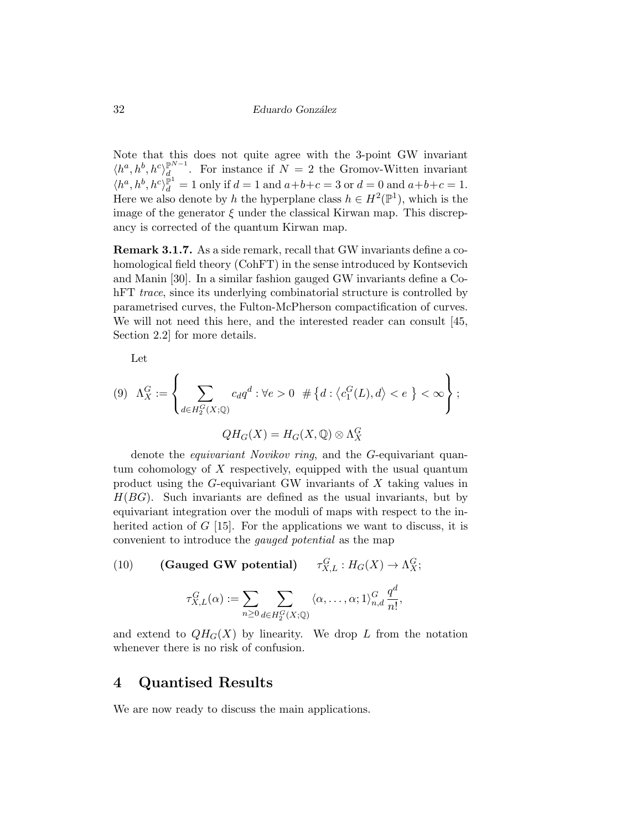Note that this does not quite agree with the 3-point GW invariant  $\langle h^a, h^b, h^c \rangle_d^{\mathbb{P}^{N-1}}$  $\mathcal{d}$  For instance if  $N = 2$  the Gromov-Witten invariant  $\langle h^a, h^b, h^c \rangle_d^{\mathbb{P}^1} = 1$  only if  $d = 1$  and  $a+b+c = 3$  or  $d = 0$  and  $a+b+c = 1$ . Here we also denote by h the hyperplane class  $h \in H^2(\mathbb{P}^1)$ , which is the image of the generator  $\xi$  under the classical Kirwan map. This discrepancy is corrected of the quantum Kirwan map.

Remark 3.1.7. As a side remark, recall that GW invariants define a cohomological field theory (CohFT) in the sense introduced by Kontsevich and Manin [30]. In a similar fashion gauged GW invariants define a CohFT *trace*, since its underlying combinatorial structure is controlled by parametrised curves, the Fulton-McPherson compactification of curves. We will not need this here, and the interested reader can consult [45, Section 2.2] for more details.

Let

(9) 
$$
\Lambda_X^G := \left\{ \sum_{d \in H_2^G(X; \mathbb{Q})} c_d q^d : \forall e > 0 \neq \{d : \langle c_1^G(L), d \rangle < e \} < \infty \right\};
$$
  

$$
QH_G(X) = H_G(X, \mathbb{Q}) \otimes \Lambda_X^G
$$

denote the *equivariant Novikov ring*, and the G-equivariant quantum cohomology of X respectively, equipped with the usual quantum product using the G-equivariant GW invariants of X taking values in  $H(BG)$ . Such invariants are defined as the usual invariants, but by equivariant integration over the moduli of maps with respect to the inherited action of  $G$  [15]. For the applications we want to discuss, it is convenient to introduce the gauged potential as the map

(10) **(Gauged GW potential)** 
$$
\tau_{X,L}^G : H_G(X) \to \Lambda_X^G;
$$
  

$$
\tau_{X,L}^G(\alpha) := \sum_{n \ge 0} \sum_{d \in H_2^G(X; \mathbb{Q})} \langle \alpha, \dots, \alpha; 1 \rangle_{n,d}^G \frac{q^d}{n!},
$$

and extend to  $QH_G(X)$  by linearity. We drop L from the notation whenever there is no risk of confusion.

# 4 Quantised Results

We are now ready to discuss the main applications.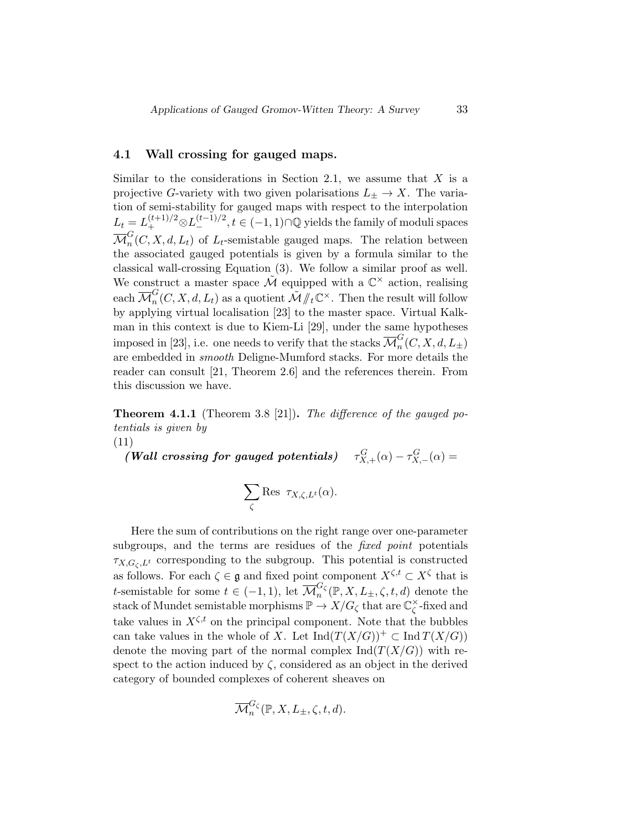### 4.1 Wall crossing for gauged maps.

Similar to the considerations in Section 2.1, we assume that  $X$  is a projective G-variety with two given polarisations  $L_{\pm} \to X$ . The variation of semi-stability for gauged maps with respect to the interpolation  $L_t = L_+^{(t+1)/2} \otimes L_-^{(t-1)/2}, t \in (-1,1) \cap \mathbb{Q}$  yields the family of moduli spaces  $\overline{\mathcal{M}}_n^G(C, X, d, L_t)$  of  $L_t$ -semistable gauged maps. The relation between the associated gauged potentials is given by a formula similar to the classical wall-crossing Equation (3). We follow a similar proof as well. We construct a master space  $\tilde{\mathcal{M}}$  equipped with a  $\mathbb{C}^{\times}$  action, realising each  $\overline{\mathcal{M}}_n^G(C, X, d, L_t)$  as a quotient  $\tilde{\mathcal{M}}/\!\!/_t \mathbb{C}^\times$ . Then the result will follow by applying virtual localisation [23] to the master space. Virtual Kalkman in this context is due to Kiem-Li [29], under the same hypotheses imposed in [23], i.e. one needs to verify that the stacks  $\overline{\mathcal{M}}_n^G(C,X,d,L_\pm)$ are embedded in smooth Deligne-Mumford stacks. For more details the reader can consult [21, Theorem 2.6] and the references therein. From this discussion we have.

**Theorem 4.1.1** (Theorem 3.8 [21]). The difference of the gauged potentials is given by (11)

 $(Wall crossing for gauged potentials)$  $G_{X,+}^{G}(\alpha) - \tau_{X,-}^{G}(\alpha) =$ 

$$
\sum_{\zeta} \text{Res }\, \tau_{X,\zeta,L^t}(\alpha).
$$

Here the sum of contributions on the right range over one-parameter subgroups, and the terms are residues of the *fixed point* potentials  $\tau_{X,G_{\zeta},L^t}$  corresponding to the subgroup. This potential is constructed as follows. For each  $\zeta \in \mathfrak{g}$  and fixed point component  $X^{\zeta,t} \subset X^{\zeta}$  that is t-semistable for some  $t \in (-1,1)$ , let  $\overline{\mathcal{M}}_n^{G_\zeta}(\mathbb{P}, X, L_{\pm}, \zeta, t, d)$  denote the stack of Mundet semistable morphisms  $\mathbb{P} \to X/G_\zeta$  that are  $\mathbb{C}_\zeta^\times$  $\zeta$ -fixed and take values in  $X^{\zeta,t}$  on the principal component. Note that the bubbles can take values in the whole of X. Let  $\text{Ind}(T(X/G))^+ \subset \text{Ind }T(X/G)$ denote the moving part of the normal complex  $\text{Ind}(T(X/G))$  with respect to the action induced by  $\zeta$ , considered as an object in the derived category of bounded complexes of coherent sheaves on

$$
\overline{\mathcal{M}}_n^{G_{\zeta}}(\mathbb{P}, X, L_{\pm}, \zeta, t, d).
$$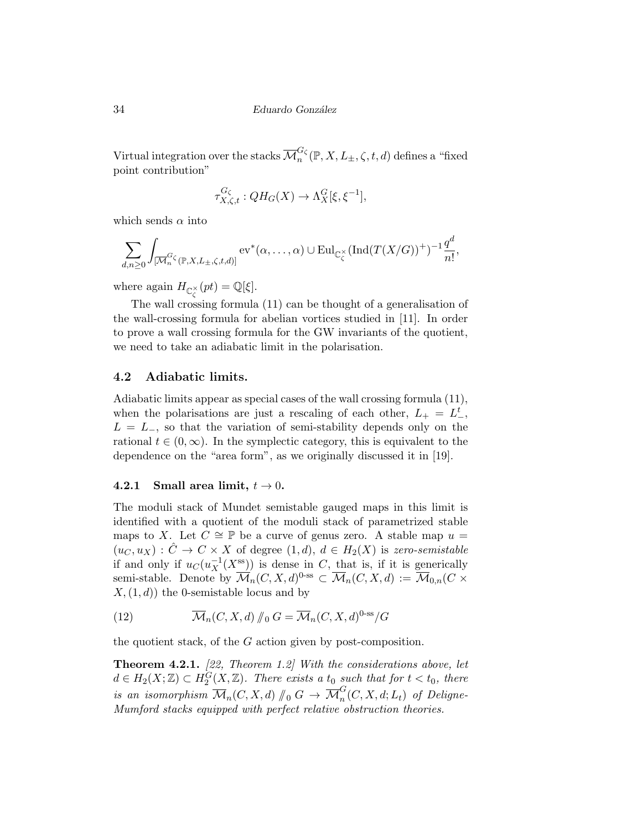Virtual integration over the stacks  $\overline{\mathcal{M}}_n^{G_\zeta}(\mathbb{P},X,L_\pm,\zeta,t,d)$  defines a "fixed point contribution"

$$
\tau^{G_\zeta}_{X,\zeta,t}: QH_G(X)\rightarrow \Lambda^G_X[\xi,\xi^{-1}],
$$

which sends  $\alpha$  into

$$
\sum_{d,n\geq 0}\int_{[\overline{\mathcal{M}}_n^{G_\zeta}(\mathbb{P},X,L_{\pm},\zeta,t,d)]}\mathrm{ev}^*(\alpha,\ldots,\alpha)\cup \mathrm{Eul}_{\mathbb{C}_{\zeta}^{\times}}(\mathrm{Ind}(T(X/G))^+)^{-1}\frac{q^d}{n!},
$$

where again  $H_{\mathbb{C}_{\zeta}^{\times}}(pt) = \mathbb{Q}[\xi].$ 

The wall crossing formula (11) can be thought of a generalisation of the wall-crossing formula for abelian vortices studied in [11]. In order to prove a wall crossing formula for the GW invariants of the quotient, we need to take an adiabatic limit in the polarisation.

### 4.2 Adiabatic limits.

Adiabatic limits appear as special cases of the wall crossing formula (11), when the polarisations are just a rescaling of each other,  $L_{+} = L_{-}^{t}$ ,  $L = L_$ , so that the variation of semi-stability depends only on the rational  $t \in (0,\infty)$ . In the symplectic category, this is equivalent to the dependence on the "area form", as we originally discussed it in [19].

### 4.2.1 Small area limit,  $t \to 0$ .

The moduli stack of Mundet semistable gauged maps in this limit is identified with a quotient of the moduli stack of parametrized stable maps to X. Let  $C \cong \mathbb{P}$  be a curve of genus zero. A stable map  $u =$  $(u_C, u_X) : \hat{C} \to C \times X$  of degree  $(1, d), d \in H_2(X)$  is zero-semistable if and only if  $u_C(u_X^{-1}(X^{ss}))$  is dense in C, that is, if it is generically semi-stable. Denote by  $\overline{\mathcal{M}}_n(C, X, d)$ <sup>0-ss</sup>  $\subset \overline{\mathcal{M}}_n(C, X, d) := \overline{\mathcal{M}}_{0,n}(C \times$  $X,(1,d)$  the 0-semistable locus and by

(12) 
$$
\overline{\mathcal{M}}_n(C, X, d) / \int_0^{\infty} G = \overline{\mathcal{M}}_n(C, X, d)^{0\text{-ss}} / G
$$

the quotient stack, of the G action given by post-composition.

**Theorem 4.2.1.** [22, Theorem 1.2] With the considerations above, let  $d \in H_2(X;\mathbb{Z}) \subset H_2^{\tilde{G}}(X,\mathbb{Z})$ . There exists a t<sub>0</sub> such that for  $t < t_0$ , there is an isomorphism  $\overline{\mathcal{M}}_n(C, X, d) \parallel_0 G \rightarrow \overline{\mathcal{M}}_n^G(C, X, d; L_t)$  of Deligne-<br>Mumford stacks equipped with perfect relative obstruction theories Mumford stacks equipped with perfect relative obstruction theories.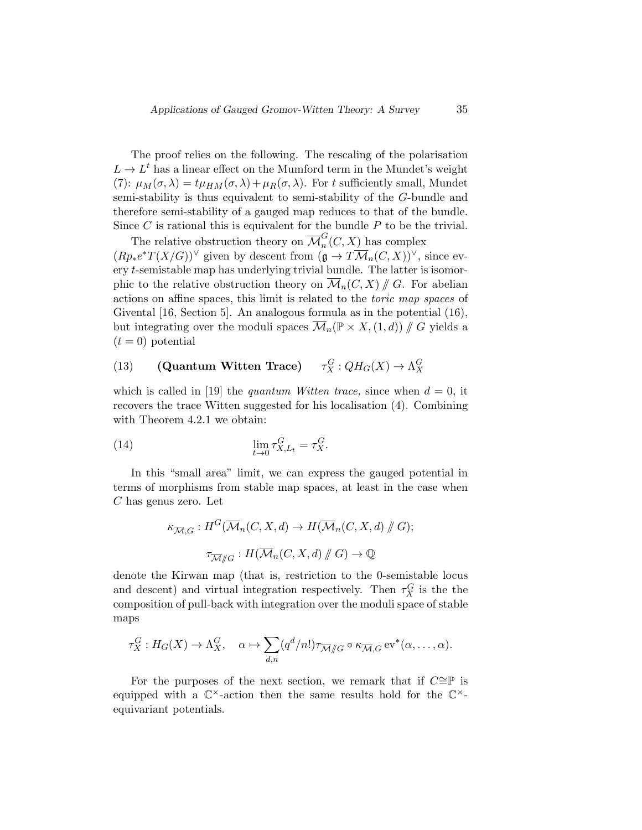The proof relies on the following. The rescaling of the polarisation  $L \to L<sup>t</sup>$  has a linear effect on the Mumford term in the Mundet's weight (7):  $\mu_M(\sigma, \lambda) = t\mu_{HM}(\sigma, \lambda) + \mu_R(\sigma, \lambda)$ . For t sufficiently small, Mundet semi-stability is thus equivalent to semi-stability of the G-bundle and therefore semi-stability of a gauged map reduces to that of the bundle. Since  $C$  is rational this is equivalent for the bundle  $P$  to be the trivial.

The relative obstruction theory on  $\overline{\mathcal{M}}_n^G(C,X)$  has complex  $(Rp_*e^*T(X/G))^{\vee}$  given by descent from  $(\mathfrak{g} \to T\overline{\mathcal{M}}_n(C,X))^{\vee}$ , since every t-semistable map has underlying trivial bundle. The latter is isomorphic to the relative obstruction theory on  $\overline{\mathcal{M}}_n(C,X)$  / G. For abelian actions on affine spaces, this limit is related to the toric map spaces of Givental [16, Section 5]. An analogous formula as in the potential (16), but integrating over the moduli spaces  $\mathcal{M}_n(\mathbb{P} \times X, (1,d))$  // G yields a  $(t = 0)$  potential

#### $(13)$  (Quantum Witten Trace)  $G_X^G: QH_G(X) \to \Lambda_X^G$

which is called in [19] the *quantum Witten trace*, since when  $d = 0$ , it recovers the trace Witten suggested for his localisation (4). Combining with Theorem 4.2.1 we obtain:

(14) 
$$
\lim_{t \to 0} \tau_{X,L_t}^G = \tau_X^G.
$$

In this "small area" limit, we can express the gauged potential in terms of morphisms from stable map spaces, at least in the case when C has genus zero. Let

$$
\kappa_{\overline{\mathcal{M}},G} : H^G(\overline{\mathcal{M}}_n(C, X, d) \to H(\overline{\mathcal{M}}_n(C, X, d) \# G);
$$

$$
\tau_{\overline{\mathcal{M}}/\!\!/G} : H(\overline{\mathcal{M}}_n(C, X, d) \# G) \to \mathbb{Q}
$$

denote the Kirwan map (that is, restriction to the 0-semistable locus and descent) and virtual integration respectively. Then  $\tau_X^G$  is the the composition of pull-back with integration over the moduli space of stable maps

$$
\tau_X^G: H_G(X) \to \Lambda_X^G, \quad \alpha \mapsto \sum_{d,n} (q^d/n!) \tau_{\overline{\mathcal{M}}/\!\!/G} \circ \kappa_{\overline{\mathcal{M}},G} \operatorname{ev}^*(\alpha, \ldots, \alpha).
$$

For the purposes of the next section, we remark that if  $C \cong \mathbb{P}$  is equipped with a  $\mathbb{C}^{\times}$ -action then the same results hold for the  $\mathbb{C}^{\times}$ equivariant potentials.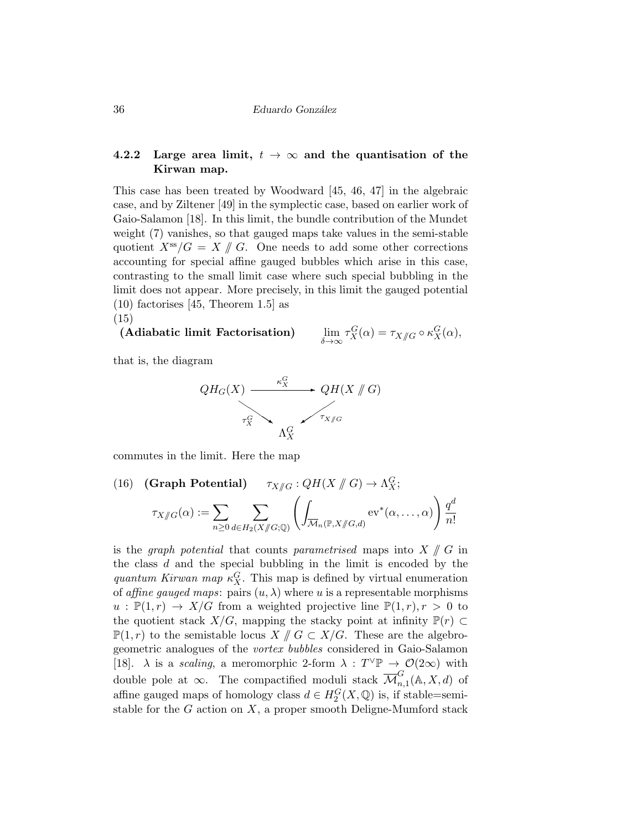### 4.2.2 Large area limit,  $t \to \infty$  and the quantisation of the Kirwan map.

This case has been treated by Woodward [45, 46, 47] in the algebraic case, and by Ziltener [49] in the symplectic case, based on earlier work of Gaio-Salamon [18]. In this limit, the bundle contribution of the Mundet weight (7) vanishes, so that gauged maps take values in the semi-stable quotient  $X^{\rm ss}/G = X \mathbin{\#} G$ . One needs to add some other corrections accounting for special affine gauged bubbles which arise in this case, contrasting to the small limit case where such special bubbling in the limit does not appear. More precisely, in this limit the gauged potential (10) factorises [45, Theorem 1.5] as (15)

(Adiabatic limit Factorisation)

$$
\lim_{\delta \to \infty} \tau_X^G(\alpha) = \tau_{X/\!\!/ G} \circ \kappa_X^G(\alpha),
$$

that is, the diagram



commutes in the limit. Here the map

(16) **(Graph Potential)** 
$$
\tau_{X/\!\!/G}: QH(X/\!\!/G) \to \Lambda_X^G;
$$
  

$$
\tau_{X/\!\!/G}(\alpha) := \sum_{n \geq 0} \sum_{d \in H_2(X/\!\!/G; \mathbb{Q})} \left( \int_{\overline{\mathcal{M}}_n(\mathbb{P}, X/\!\!/G, d)} \mathrm{ev}^*(\alpha, \dots, \alpha) \right) \frac{q^d}{n!}
$$

is the *graph potential* that counts *parametrised* maps into  $X \nparallel G$  in the class  $d$  and the special bubbling in the limit is encoded by the quantum Kirwan map  $\kappa_X^G$ . This map is defined by virtual enumeration of affine gauged maps: pairs  $(u, \lambda)$  where u is a representable morphisms  $u : \mathbb{P}(1,r) \to X/G$  from a weighted projective line  $\mathbb{P}(1,r), r > 0$  to the quotient stack  $X/G$ , mapping the stacky point at infinity  $\mathbb{P}(r) \subset$  $\mathbb{P}(1,r)$  to the semistable locus  $X \# G \subset X/G$ . These are the algebrogeometric analogues of the vortex bubbles considered in Gaio-Salamon [18].  $\lambda$  is a *scaling*, a meromorphic 2-form  $\lambda : T^{\vee} \mathbb{P} \to \mathcal{O}(2\infty)$  with double pole at  $\infty$ . The compactified moduli stack  $\overline{\mathcal{M}}_{n,1}^G(\mathbb{A}, X, d)$  of affine gauged maps of homology class  $d \in H_2^G(X, \mathbb{Q})$  is, if stable=semistable for the  $G$  action on  $X$ , a proper smooth Deligne-Mumford stack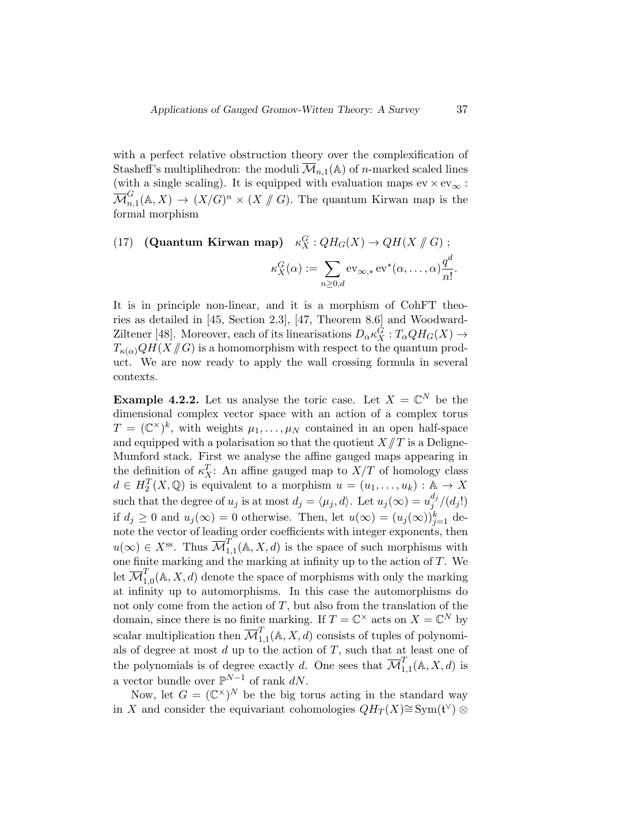with a perfect relative obstruction theory over the complexification of Stasheff's multiplihedron: the moduli  $\overline{\mathcal{M}}_{n,1}(\mathbb{A})$  of *n*-marked scaled lines (with a single scaling). It is equipped with evaluation maps  $ev \times ev_{\infty}$ :  $\overline{\mathcal{M}}_{n,1}^G(\mathbb{A}, X) \to (X/G)^n \times (X \not\parallel G)$ . The quantum Kirwan map is the formal mapping formal morphism

### (17) (Quantum Kirwan map)  $\kappa_X^G: QH_G(X) \to QH(X \nparallel G)$ ;  $\kappa_X^G(\alpha) := \sum$  $n\geq 0, d$  $\operatorname{ev}_{\infty,*} \operatorname{ev}^*(\alpha, \dots, \alpha) \frac{q^d}{d}$  $\frac{q}{n!}$ .

It is in principle non-linear, and it is a morphism of CohFT theories as detailed in [45, Section 2.3], [47, Theorem 8.6] and Woodward-Ziltener [48]. Moreover, each of its linearisations  $D_{\alpha} \kappa_X^G : T_{\alpha} Q H_G(X) \rightarrow$  $T_{\kappa(\alpha)}QH(X \mathscr{H}G)$  is a homomorphism with respect to the quantum product. We are now ready to apply the wall crossing formula in several contexts.

**Example 4.2.2.** Let us analyse the toric case. Let  $X = \mathbb{C}^N$  be the dimensional complex vector space with an action of a complex torus  $T = (\mathbb{C}^{\times})^k$ , with weights  $\mu_1, \ldots, \mu_N$  contained in an open half-space and equipped with a polarisation so that the quotient  $X/\!\!/ T$  is a Deligne-Mumford stack. First we analyse the affine gauged maps appearing in the definition of  $\kappa_X^T$ : An affine gauged map to  $X/T$  of homology class  $d \in H_2^T(X, \mathbb{Q})$  is equivalent to a morphism  $u = (u_1, \ldots, u_k) : \mathbb{A} \to X$ such that the degree of  $u_j$  is at most  $d_j = \langle \mu_j, d \rangle$ . Let  $u_j(\infty) = u_j^{d_j}$  $_{j}^{a_{j}}/(d_{j}!)$ if  $d_j \geq 0$  and  $u_j(\infty) = 0$  otherwise. Then, let  $u(\infty) = (u_j(\infty))_{j=1}^k$  denote the vector of leading order coefficients with integer exponents, then  $u(\infty) \in X^{\text{ss}}$ . Thus  $\overline{\mathcal{M}}_{1,1}^T(\mathbb{A}, X, d)$  is the space of such morphisms with one finite marking and the marking at infinity up to the action of  $T$ . We let  $\overline{\mathcal{M}}_{1,0}^{T}(\mathbb{A},X,d)$  denote the space of morphisms with only the marking at infinity up to automorphisms. In this case the automorphisms do not only come from the action of  $T$ , but also from the translation of the domain, since there is no finite marking. If  $T = \mathbb{C}^{\times}$  acts on  $X = \mathbb{C}^N$  by scalar multiplication then  $\overline{\mathcal{M}}_{1,1}^T(\mathbb{A}, X, d)$  consists of tuples of polynomials of degree at most  $d$  up to the action of  $T$ , such that at least one of the polynomials is of degree exactly d. One sees that  $\overline{\mathcal{M}}_{1,1}^T(\mathbb{A}, X, d)$  is a vector bundle over  $\mathbb{P}^{N-1}$  of rank dN.

Now, let  $G = (\mathbb{C}^{\times})^N$  be the big torus acting in the standard way in X and consider the equivariant cohomologies  $QH_T(X) \cong \text{Sym}(\mathfrak{t}^\vee) \otimes$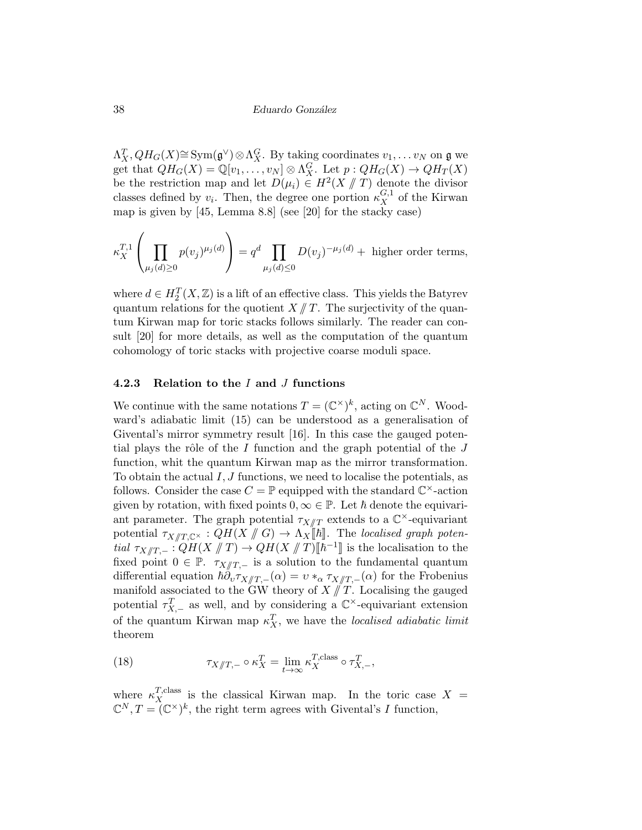$\Lambda_X^T, QH_G(X) \cong \text{Sym}(\mathfrak{g}^{\vee}) \otimes \Lambda_X^G$ . By taking coordinates  $v_1, \ldots v_N$  on  $\mathfrak{g}$  we get that  $QH_G(X) = \mathbb{Q}[v_1, \ldots, v_N] \otimes \Lambda_X^G$ . Let  $p: QH_G(X) \to QH_T(X)$ be the restriction map and let  $D(\mu_i) \in H^2(X \mid T)$  denote the divisor<br>classes defined by a Then, the degree are parties  $\mu^{G,1}$  of the Kinwan classes defined by  $v_i$ . Then, the degree one portion  $\kappa_X^{G,1}$  of the Kirwan map is given by [45, Lemma 8.8] (see [20] for the stacky case)

$$
\kappa_X^{T,1}\left(\prod_{\mu_j(d)\geq 0} p(v_j)^{\mu_j(d)}\right) = q^d \prod_{\mu_j(d)\leq 0} D(v_j)^{-\mu_j(d)} + \text{ higher order terms},
$$

where  $d \in H_2^T(X, \mathbb{Z})$  is a lift of an effective class. This yields the Batyrev quantum relations for the quotient  $X/\!\!/ T$ . The surjectivity of the quantum Kirwan map for toric stacks follows similarly. The reader can consult [20] for more details, as well as the computation of the quantum cohomology of toric stacks with projective coarse moduli space.

### 4.2.3 Relation to the  $I$  and  $J$  functions

We continue with the same notations  $T = (\mathbb{C}^{\times})^k$ , acting on  $\mathbb{C}^N$ . Woodward's adiabatic limit (15) can be understood as a generalisation of Givental's mirror symmetry result [16]. In this case the gauged potential plays the rôle of the  $I$  function and the graph potential of the  $J$ function, whit the quantum Kirwan map as the mirror transformation. To obtain the actual  $I, J$  functions, we need to localise the potentials, as follows. Consider the case  $C = \mathbb{P}$  equipped with the standard  $\mathbb{C}^{\times}$ -action given by rotation, with fixed points  $0, \infty \in \mathbb{P}$ . Let  $\hbar$  denote the equivariant parameter. The graph potential  $\tau_{X/\!/ T}$  extends to a  $\mathbb{C}^{\times}$ -equivariant potential  $\tau_{X/\!\!/ T, \mathbb C^{\times}} : QH(X /\!\!/ G) \to \Lambda_X[\![\hbar]\!]$ . The localised graph potential  $\tau_{X/\!/ T,-}: QH(X/\!/ T) \to QH(X/\!/ T)[\hbar^{-1}]$  is the localisation to the fundamental quantum fixed point  $0 \in \mathbb{P}$ .  $\tau_{X/\!/T,-}$  is a solution to the fundamental quantum differential equation  $\hbar \partial_v \tau_{X/\!\!/ T,-}(\alpha) = v *_{\alpha} \tau_{X/\!\!/ T,-}(\alpha)$  for the Frobenius manifold associated to the GW theory of  $X/\sqrt{T}$ . Localising the gauged potential  $\tau_{X,-}^T$  as well, and by considering a  $\mathbb{C}^{\times}$ -equivariant extension of the quantum Kirwan map  $\kappa_X^T$ , we have the *localised adiabatic limit* theorem

(18) 
$$
\tau_{X/\!\!/ T,-} \circ \kappa_X^T = \lim_{t \to \infty} \kappa_X^{T,\text{class}} \circ \tau_{X,-}^T,
$$

where  $\kappa_X^{T,\text{class}}$  is the classical Kirwan map. In the toric case  $X =$  $\mathbb{C}^N, T = (\mathbb{C}^\times)^k$ , the right term agrees with Givental's I function,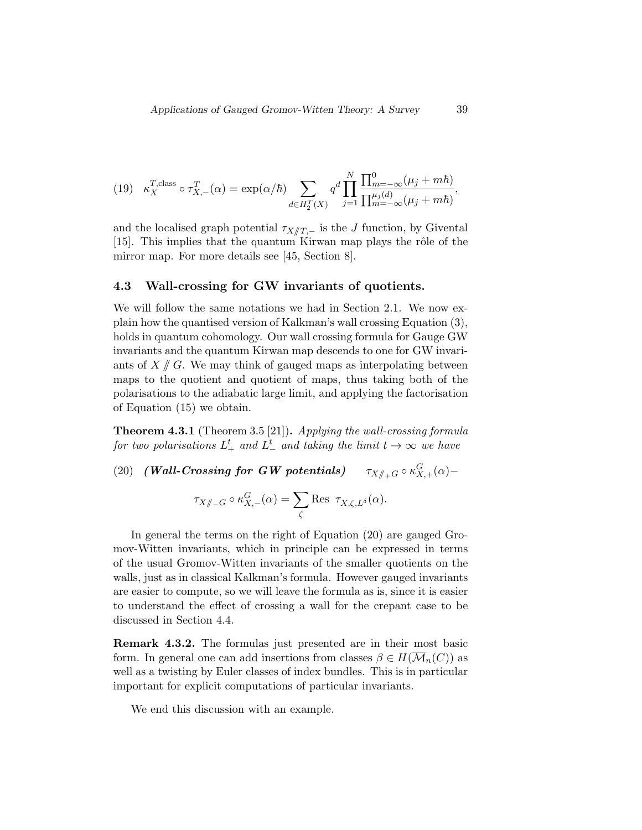(19) 
$$
\kappa_X^{T,\text{class}} \circ \tau_{X,-}^T(\alpha) = \exp(\alpha/\hbar) \sum_{d \in H_2^T(X)} q^d \prod_{j=1}^N \frac{\prod_{m=-\infty}^0 (\mu_j + m\hbar)}{\prod_{m=-\infty}^{\mu_j(d)} (\mu_j + m\hbar)},
$$

and the localised graph potential  $\tau_{X/\!\!/ T,-}$  is the J function, by Givental [15]. This implies that the quantum Kirwan map plays the rôle of the mirror map. For more details see [45, Section 8].

### 4.3 Wall-crossing for GW invariants of quotients.

We will follow the same notations we had in Section 2.1. We now explain how the quantised version of Kalkman's wall crossing Equation (3), holds in quantum cohomology. Our wall crossing formula for Gauge GW invariants and the quantum Kirwan map descends to one for GW invariants of  $X/\!\!/ G$ . We may think of gauged maps as interpolating between maps to the quotient and quotient of maps, thus taking both of the polarisations to the adiabatic large limit, and applying the factorisation of Equation (15) we obtain.

**Theorem 4.3.1** (Theorem 3.5 [21]). Applying the wall-crossing formula for two polarisations  $L^t_+$  and  $L^t_-$  and taking the limit  $t\to\infty$  we have

 $(20)$  (Wall-Crossing for GW potentials)  $G_{X,+}(\alpha)$ –

$$
\tau_{X/\!\!/_{-}G} \circ \kappa_{X,-}^G(\alpha) = \sum_{\zeta} \text{Res } \tau_{X,\zeta,L^{\delta}}(\alpha).
$$

In general the terms on the right of Equation (20) are gauged Gromov-Witten invariants, which in principle can be expressed in terms of the usual Gromov-Witten invariants of the smaller quotients on the walls, just as in classical Kalkman's formula. However gauged invariants are easier to compute, so we will leave the formula as is, since it is easier to understand the effect of crossing a wall for the crepant case to be discussed in Section 4.4.

Remark 4.3.2. The formulas just presented are in their most basic form. In general one can add insertions from classes  $\beta \in H(\overline{\mathcal{M}}_n(C))$  as well as a twisting by Euler classes of index bundles. This is in particular important for explicit computations of particular invariants.

We end this discussion with an example.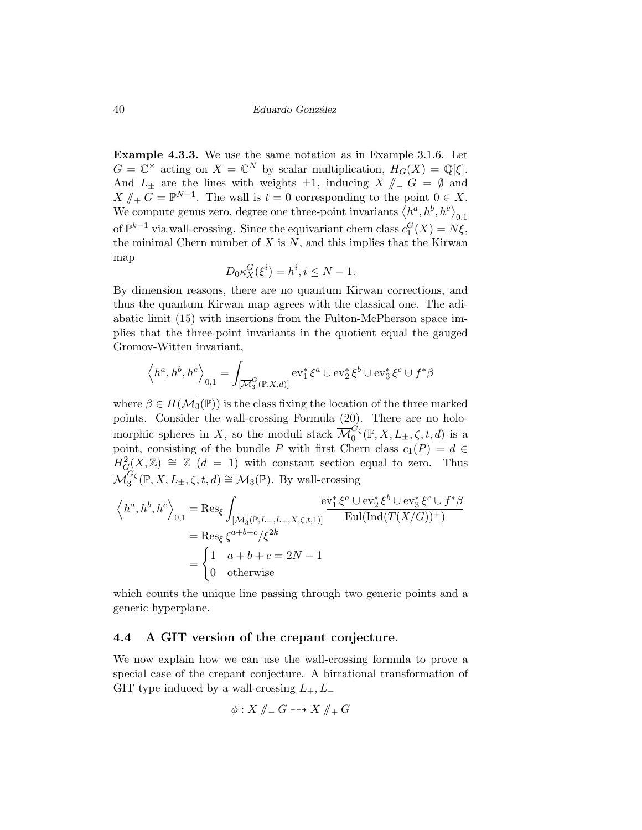Example 4.3.3. We use the same notation as in Example 3.1.6. Let  $G = \mathbb{C}^{\times}$  acting on  $X = \mathbb{C}^{N}$  by scalar multiplication,  $H_{G}(X) = \mathbb{Q}[\xi].$ And  $L_{\pm}$  are the lines with weights  $\pm 1$ , inducing  $X \parallel_{-} G = \emptyset$  and  $X \nparallel_+ G = \mathbb{P}^{N-1}$ . The wall is  $t = 0$  corresponding to the point  $0 \in X$ .<br>We compute game game degree and three point inversions (bank) kg. We compute genus zero, degree one three-point invariants  $\langle h^a, h^b, h^c \rangle_{0,1}$ of  $\mathbb{P}^{k-1}$  via wall-crossing. Since the equivariant chern class  $c_1^G(X) = N\xi$ , the minimal Chern number of  $X$  is  $N$ , and this implies that the Kirwan map

$$
D_0 \kappa_X^G(\xi^i) = h^i, i \le N - 1.
$$

By dimension reasons, there are no quantum Kirwan corrections, and thus the quantum Kirwan map agrees with the classical one. The adiabatic limit (15) with insertions from the Fulton-McPherson space implies that the three-point invariants in the quotient equal the gauged Gromov-Witten invariant,

$$
\left\langle h^{a},h^{b},h^{c}\right\rangle _{0,1}=\int_{[\overline{\mathcal{M}}_{3}^{G}(\mathbb{P},X,d)]}\mathrm{ev}_{1}^{\ast}\,\xi^{a}\cup\mathrm{ev}_{2}^{\ast}\,\xi^{b}\cup\mathrm{ev}_{3}^{\ast}\,\xi^{c}\cup f^{\ast}\beta
$$

where  $\beta \in H(\overline{\mathcal{M}}_3(\mathbb{P}))$  is the class fixing the location of the three marked points. Consider the wall-crossing Formula (20). There are no holomorphic spheres in X, so the moduli stack  $\overline{\mathcal{M}}_0^{G_\zeta}(\mathbb{P},X,L_\pm,\zeta,t,d)$  is a point, consisting of the bundle P with first Chern class  $c_1(P) = d \in$  $H^2_G(X,\mathbb{Z}) \cong \mathbb{Z}((d-1))$  with constant section equal to zero. Thus  $\overline{\mathcal{M}}_3^{G_\zeta}(\mathbb{P}, X, L_\pm, \zeta, t, d) \cong \overline{\mathcal{M}}_3(\mathbb{P})$ . By wall-crossing

$$
\left\langle h^{a},h^{b},h^{c}\right\rangle_{0,1} = \text{Res}_{\xi} \int_{\overline{[\mathcal{M}_{3}(\mathbb{P},L_{-},L_{+},X,\zeta,t,1)]}}\frac{\operatorname{ev}_{1}^{*}\xi^{a} \cup \operatorname{ev}_{2}^{*}\xi^{b} \cup \operatorname{ev}_{3}^{*}\xi^{c} \cup f^{*}\beta}{\operatorname{Eul}(\operatorname{Ind}(T(X/G))^{+})}
$$

$$
= \text{Res}_{\xi} \xi^{a+b+c}/\xi^{2k}
$$

$$
= \begin{cases} 1 & a+b+c=2N-1\\ 0 & \text{otherwise} \end{cases}
$$

which counts the unique line passing through two generic points and a generic hyperplane.

### 4.4 A GIT version of the crepant conjecture.

We now explain how we can use the wall-crossing formula to prove a special case of the crepant conjecture. A birrational transformation of GIT type induced by a wall-crossing  $L_+, L_-$ 

$$
\phi: X \nparallel_{-} G \dashrightarrow X \nparallel_{+} G
$$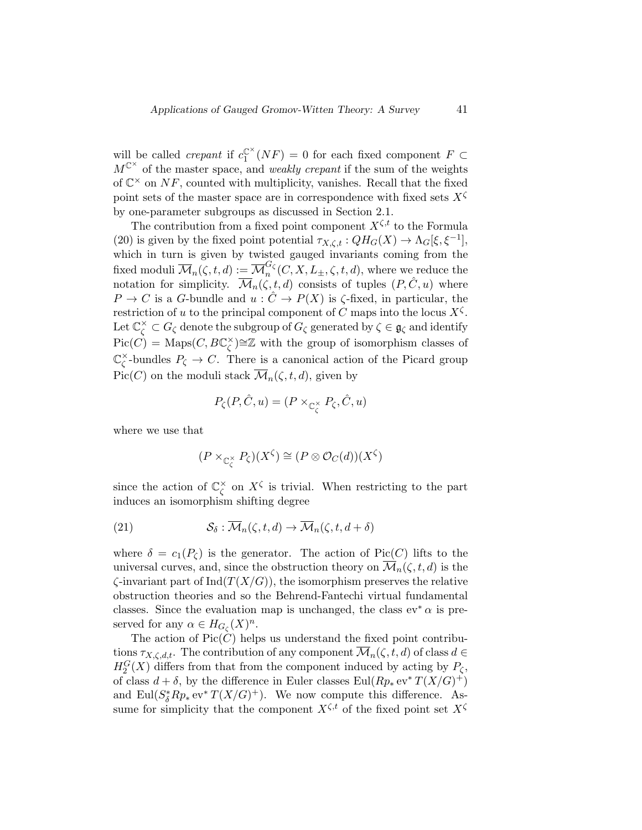will be called *crepant* if  $c_1^{\mathbb{C}^{\times}}$  ${}^{\mathbb{C}^{\times}}_1(NF) = 0$  for each fixed component  $F \subset$  $M^{\mathbb{C}^{\times}}$  of the master space, and *weakly crepant* if the sum of the weights of  $\mathbb{C}^{\times}$  on NF, counted with multiplicity, vanishes. Recall that the fixed point sets of the master space are in correspondence with fixed sets  $X^{\zeta}$ by one-parameter subgroups as discussed in Section 2.1.

The contribution from a fixed point component  $X^{\zeta,t}$  to the Formula (20) is given by the fixed point potential  $\tau_{X,\zeta,t}: QH_G(X) \to \Lambda_G[\xi, \xi^{-1}],$ which in turn is given by twisted gauged invariants coming from the fixed moduli  $\overline{\mathcal{M}}_n(\zeta,t,d) := \overline{\mathcal{M}}_n^{G_\zeta}(C,X,L_\pm,\zeta,t,d)$ , where we reduce the notation for simplicity.  $\overline{\mathcal{M}}_n(\zeta, t, d)$  consists of tuples  $(P, \hat{C}, u)$  where  $P \to C$  is a G-bundle and  $u : C \to P(X)$  is  $\zeta$ -fixed, in particular, the restriction of u to the principal component of C maps into the locus  $X^{\zeta}$ . Let  $\mathbb{C}^\times_\zeta\subset G_\zeta$  denote the subgroup of  $G_\zeta$  generated by  $\zeta\in\mathfrak{g}_\zeta$  and identify  $Pic(C) = \text{Maps}(C, BC)^\times$  $\binom{x}{\zeta}$  ≃Z with the group of isomorphism classes of C ×  $\zeta^*$ -bundles  $P_{\zeta} \to C$ . There is a canonical action of the Picard group Pic(C) on the moduli stack  $\overline{\mathcal{M}}_n(\zeta, t, d)$ , given by

$$
P_{\zeta}(P, \hat{C}, u) = (P \times_{\mathbb{C}_{\zeta}^{\times}} P_{\zeta}, \hat{C}, u)
$$

where we use that

$$
(P \times_{\mathbb{C}_{\zeta}^{\times}} P_{\zeta})(X^{\zeta}) \cong (P \otimes \mathcal{O}_C(d))(X^{\zeta})
$$

since the action of  $\mathbb{C}_{\zeta}^{\times}$  $\chi^{\times}$  on  $X^{\zeta}$  is trivial. When restricting to the part induces an isomorphism shifting degree

(21) 
$$
\mathcal{S}_{\delta}: \overline{\mathcal{M}}_n(\zeta, t, d) \to \overline{\mathcal{M}}_n(\zeta, t, d + \delta)
$$

where  $\delta = c_1(P_\zeta)$  is the generator. The action of Pic(C) lifts to the universal curves, and, since the obstruction theory on  $\overline{\mathcal{M}}_n(\zeta, t, d)$  is the  $\zeta$ -invariant part of Ind $(T(X/G))$ , the isomorphism preserves the relative obstruction theories and so the Behrend-Fantechi virtual fundamental classes. Since the evaluation map is unchanged, the class  $ev^* \alpha$  is preserved for any  $\alpha \in H_{G_{\zeta}}(X)^n$ .

The action of  $Pic(C)$  helps us understand the fixed point contributions  $\tau_{X,\zeta,d,t}$ . The contribution of any component  $\overline{\mathcal{M}}_n(\zeta,t,d)$  of class  $d \in$  $H_2^G(X)$  differs from that from the component induced by acting by  $P_\zeta$ , of class  $d + \delta$ , by the difference in Euler classes Eul $(Rp_* \,\mathrm{ev}^* T(X/G)^+)$ and  $\text{Eul}(S^*_{\delta}Rp_*\text{ev}^*T(X/G)^+)$ . We now compute this difference. Assume for simplicity that the component  $X^{\zeta,t}$  of the fixed point set  $X^{\zeta}$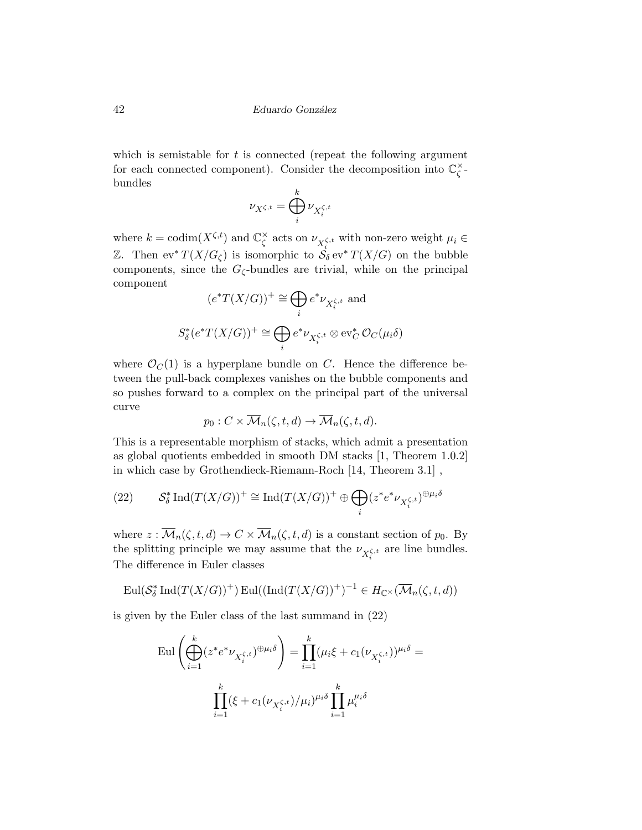which is semistable for  $t$  is connected (repeat the following argument for each connected component). Consider the decomposition into  $\mathbb{C}_{\zeta}^{\times}$ ζ bundles

$$
\nu_{X^{\zeta,t}}=\bigoplus_i^k\nu_{X^{\zeta,t}_i}
$$

where  $k = \text{codim}(X^{\zeta,t})$  and  $\mathbb{C}_\zeta^\times$  $\chi_{\zeta}^{\zeta}$  acts on  $\nu_{X_i^{\zeta,t}}$  with non-zero weight  $\mu_i \in$ Z. Then ev<sup>\*</sup>  $T(X/G_{\zeta})$  is isomorphic to  $S_{\delta}$  ev<sup>\*</sup>  $T(X/G)$  on the bubble components, since the  $G_\zeta$ -bundles are trivial, while on the principal component

$$
(e^*T(X/G))^+ \cong \bigoplus_i e^*\nu_{X_i^{\zeta,t}} \text{ and}
$$
  

$$
S^*_\delta(e^*T(X/G))^+ \cong \bigoplus_i e^*\nu_{X_i^{\zeta,t}} \otimes \text{ev}_C^* \mathcal{O}_C(\mu_i \delta)
$$

where  $\mathcal{O}_C(1)$  is a hyperplane bundle on C. Hence the difference between the pull-back complexes vanishes on the bubble components and so pushes forward to a complex on the principal part of the universal curve

$$
p_0: C \times \overline{\mathcal{M}}_n(\zeta, t, d) \to \overline{\mathcal{M}}_n(\zeta, t, d).
$$

This is a representable morphism of stacks, which admit a presentation as global quotients embedded in smooth DM stacks [1, Theorem 1.0.2] in which case by Grothendieck-Riemann-Roch [14, Theorem 3.1] ,

(22) 
$$
\mathcal{S}_{\delta}^{*} \operatorname{Ind}(T(X/G))^{+} \cong \operatorname{Ind}(T(X/G))^{+} \oplus \bigoplus_{i} (z^{*}e^{*}\nu_{X_{i}^{\zeta,t}})^{\oplus \mu_{i}\delta}
$$

where  $z : \overline{\mathcal{M}}_n(\zeta, t, d) \to C \times \overline{\mathcal{M}}_n(\zeta, t, d)$  is a constant section of  $p_0$ . By the splitting principle we may assume that the  $\nu_{X_i^{\zeta,t}}$  are line bundles. The difference in Euler classes

$$
\mathrm{Eul}(\mathcal{S}_{\delta}^{*}\mathrm{Ind}(T(X/G))^{+})\mathrm{Eul}((\mathrm{Ind}(T(X/G))^{+})^{-1}\in H_{\mathbb{C}^{\times}}(\overline{\mathcal{M}}_{n}(\zeta, t, d))
$$

is given by the Euler class of the last summand in (22)

$$
\text{Eul}\left(\bigoplus_{i=1}^k (z^* e^* \nu_{X_i^{\zeta,t}})^{\oplus \mu_i \delta}\right) = \prod_{i=1}^k (\mu_i \xi + c_1(\nu_{X_i^{\zeta,t}}))^{\mu_i \delta} =
$$

$$
\prod_{i=1}^k (\xi + c_1(\nu_{X_i^{\zeta,t}})/\mu_i)^{\mu_i \delta} \prod_{i=1}^k \mu_i^{\mu_i \delta}
$$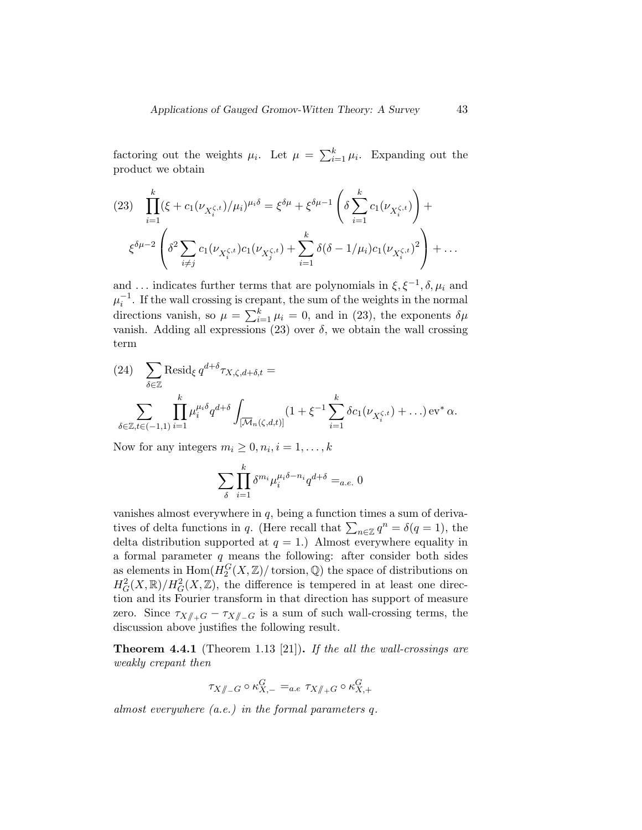factoring out the weights  $\mu_i$ . Let  $\mu = \sum_{i=1}^k \mu_i$ . Expanding out the product we obtain

$$
(23) \quad \prod_{i=1}^{k} (\xi + c_1(\nu_{X_i^{\zeta,t}})/\mu_i)^{\mu_i \delta} = \xi^{\delta \mu} + \xi^{\delta \mu - 1} \left( \delta \sum_{i=1}^{k} c_1(\nu_{X_i^{\zeta,t}}) \right) +
$$

$$
\xi^{\delta \mu - 2} \left( \delta^2 \sum_{i \neq j} c_1(\nu_{X_i^{\zeta,t}}) c_1(\nu_{X_j^{\zeta,t}}) + \sum_{i=1}^{k} \delta(\delta - 1/\mu_i) c_1(\nu_{X_i^{\zeta,t}})^2 \right) + \dots
$$

and ... indicates further terms that are polynomials in  $\xi, \xi^{-1}, \delta, \mu_i$  and  $\mu_i^{-1}$ . If the wall crossing is crepant, the sum of the weights in the normal directions vanish, so  $\mu = \sum_{i=1}^{k} \mu_i = 0$ , and in (23), the exponents  $\delta \mu$ vanish. Adding all expressions (23) over  $\delta$ , we obtain the wall crossing term

(24) 
$$
\sum_{\delta \in \mathbb{Z}} \text{Resid}_{\xi} q^{d+\delta} \tau_{X,\zeta,d+\delta,t} =
$$

$$
\sum_{\delta \in \mathbb{Z}, t \in (-1,1)} \prod_{i=1}^{k} \mu_i^{\mu_i \delta} q^{d+\delta} \int_{\overline{[M_n(\zeta,d,t)]}} (1 + \xi^{-1} \sum_{i=1}^{k} \delta c_1(\nu_{X_i^{\zeta,t}}) + \ldots) \operatorname{ev}^* \alpha.
$$

Now for any integers  $m_i \geq 0, n_i, i = 1, \ldots, k$ 

$$
\sum_{\delta}\prod_{i=1}^k \delta^{m_i}\mu_i^{\mu_i\delta-n_i}q^{d+\delta} =_{a.e.} 0
$$

vanishes almost everywhere in  $q$ , being a function times a sum of derivatives of delta functions in q. (Here recall that  $\sum_{n\in\mathbb{Z}}q^n = \delta(q=1)$ , the delta distribution supported at  $q = 1$ .) Almost everywhere equality in a formal parameter  $q$  means the following: after consider both sides as elements in  $\text{Hom}(H_2^G(X,{\mathbb Z})/\text{torsion},{\mathbb Q})$  the space of distributions on  $H^2_G(X,\mathbb{R})/H^2_G(X,\mathbb{Z})$ , the difference is tempered in at least one direction and its Fourier transform in that direction has support of measure zero. Since  $\tau_{X/\!\!/_{+}G} - \tau_{X/\!\!/_{-}G}$  is a sum of such wall-crossing terms, the discussion above justifies the following result.

**Theorem 4.4.1** (Theorem 1.13 [21]). If the all the wall-crossings are weakly crepant then

$$
\tau_{X/\!\!/_{-}G}\circ\kappa^G_{X,-}=_{a.e}\tau_{X/\!\!/_{+}G}\circ\kappa^G_{X,+}
$$

almost everywhere (a.e.) in the formal parameters q.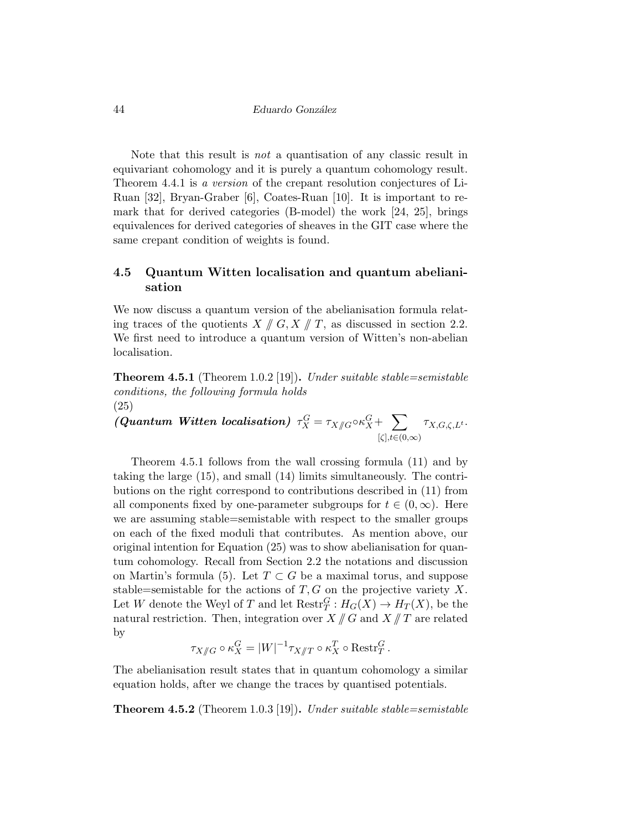Note that this result is not a quantisation of any classic result in equivariant cohomology and it is purely a quantum cohomology result. Theorem 4.4.1 is a version of the crepant resolution conjectures of Li-Ruan [32], Bryan-Graber [6], Coates-Ruan [10]. It is important to remark that for derived categories (B-model) the work [24, 25], brings equivalences for derived categories of sheaves in the GIT case where the same crepant condition of weights is found.

## 4.5 Quantum Witten localisation and quantum abelianisation

We now discuss a quantum version of the abelianisation formula relating traces of the quotients  $X \nparallel G, X \parallel T$ , as discussed in section 2.2. We first need to introduce a quantum version of Witten's non-abelian localisation.

**Theorem 4.5.1** (Theorem 1.0.2 [19]). Under suitable stable=semistable conditions, the following formula holds (25)

 $(Quantum \; Witten \; localisation) \; \tau_X^G = \tau_{X/\!\!/ G} \circ \kappa_X^G + \sum_{\{\kappa\} \in \mathcal{A}(\kappa_X)}$  $[\zeta], t \in (0,\infty)$  $\tau_{X,G,\zeta,L^t}$ .

Theorem 4.5.1 follows from the wall crossing formula (11) and by taking the large (15), and small (14) limits simultaneously. The contributions on the right correspond to contributions described in (11) from all components fixed by one-parameter subgroups for  $t \in (0,\infty)$ . Here we are assuming stable=semistable with respect to the smaller groups on each of the fixed moduli that contributes. As mention above, our original intention for Equation (25) was to show abelianisation for quantum cohomology. Recall from Section 2.2 the notations and discussion on Martin's formula (5). Let  $T \subset G$  be a maximal torus, and suppose stable=semistable for the actions of  $T, G$  on the projective variety X. Let W denote the Weyl of T and let  $\text{Restr}_T^G: H_G(X) \to H_T(X)$ , be the natural restriction. Then, integration over  $X \mathbin{\parallel} G$  and  $X \mathbin{\parallel} T$  are related by

$$
\tau_{X/\!\!/ G} \circ \kappa_X^G = |W|^{-1} \tau_{X/\!\!/ T} \circ \kappa_X^T \circ \text{Restr}_T^G.
$$

The abelianisation result states that in quantum cohomology a similar equation holds, after we change the traces by quantised potentials.

**Theorem 4.5.2** (Theorem 1.0.3 [19]). Under suitable stable=semistable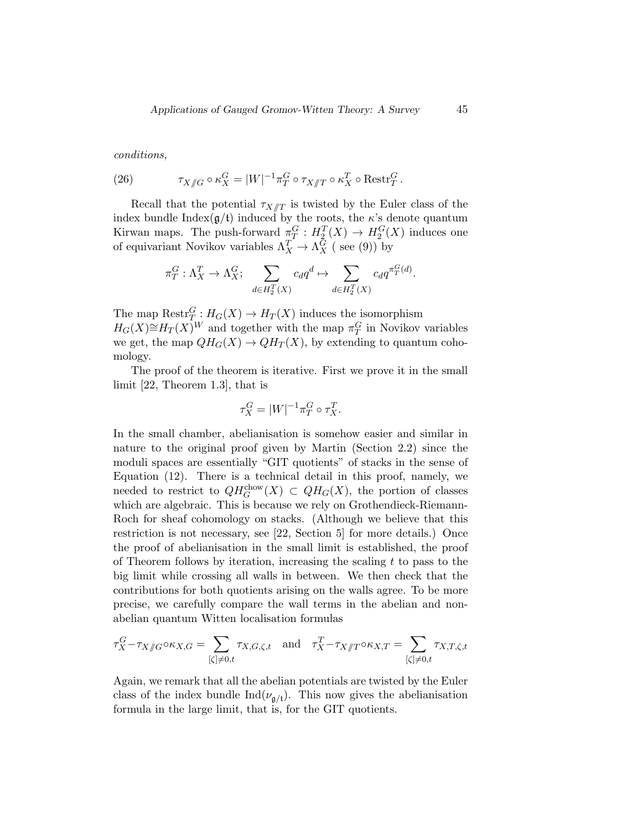conditions,

(26) 
$$
\tau_{X/\!\!/ G} \circ \kappa_X^G = |W|^{-1} \pi_T^G \circ \tau_{X/\!\!/ T} \circ \kappa_X^T \circ \text{Restr}_T^G.
$$

Recall that the potential  $\tau_{X/\!\!/ T}$  is twisted by the Euler class of the index bundle Index $(g/t)$  induced by the roots, the  $\kappa$ 's denote quantum Kirwan maps. The push-forward  $\pi_T^G: H_2^T(X) \to H_2^G(X)$  induces one of equivariant Novikov variables  $\Lambda_X^T \to \Lambda_X^G$  (see (9)) by

$$
\pi_T^G : \Lambda_X^T \to \Lambda_X^G; \sum_{d \in H_2^T(X)} c_d q^d \mapsto \sum_{d \in H_2^T(X)} c_d q^{\pi_T^G(d)}.
$$

The map  $\text{Restr}_{T}^G: H_G(X) \to H_T(X)$  induces the isomorphism  $H_G(X) \cong H_T(X)$ <sup>W</sup> and together with the map  $\pi_T^G$  in Novikov variables we get, the map  $QH_G(X) \to QH_T(X)$ , by extending to quantum cohomology.

The proof of the theorem is iterative. First we prove it in the small limit [22, Theorem 1.3], that is

$$
\tau_X^G = |W|^{-1} \pi_T^G \circ \tau_X^T.
$$

In the small chamber, abelianisation is somehow easier and similar in nature to the original proof given by Martin (Section 2.2) since the moduli spaces are essentially "GIT quotients" of stacks in the sense of Equation (12). There is a technical detail in this proof, namely, we needed to restrict to  $QH_G^{\text{chow}}(X) \subset QH_G(X)$ , the portion of classes which are algebraic. This is because we rely on Grothendieck-Riemann-Roch for sheaf cohomology on stacks. (Although we believe that this restriction is not necessary, see [22, Section 5] for more details.) Once the proof of abelianisation in the small limit is established, the proof of Theorem follows by iteration, increasing the scaling  $t$  to pass to the big limit while crossing all walls in between. We then check that the contributions for both quotients arising on the walls agree. To be more precise, we carefully compare the wall terms in the abelian and nonabelian quantum Witten localisation formulas

$$
\tau_X^G - \tau_{X/\!\!/ G} \circ \kappa_{X,G} = \sum_{[\zeta]\neq 0,t} \tau_{X,G,\zeta,t} \quad \text{and} \quad \tau_X^T - \tau_{X/\!\!/ T} \circ \kappa_{X,T} = \sum_{[\zeta]\neq 0,t} \tau_{X,T,\zeta,t}
$$

Again, we remark that all the abelian potentials are twisted by the Euler class of the index bundle  $\text{Ind}(\nu_{\mathfrak{g}/\mathfrak{t}})$ . This now gives the abelianisation formula in the large limit, that is, for the GIT quotients.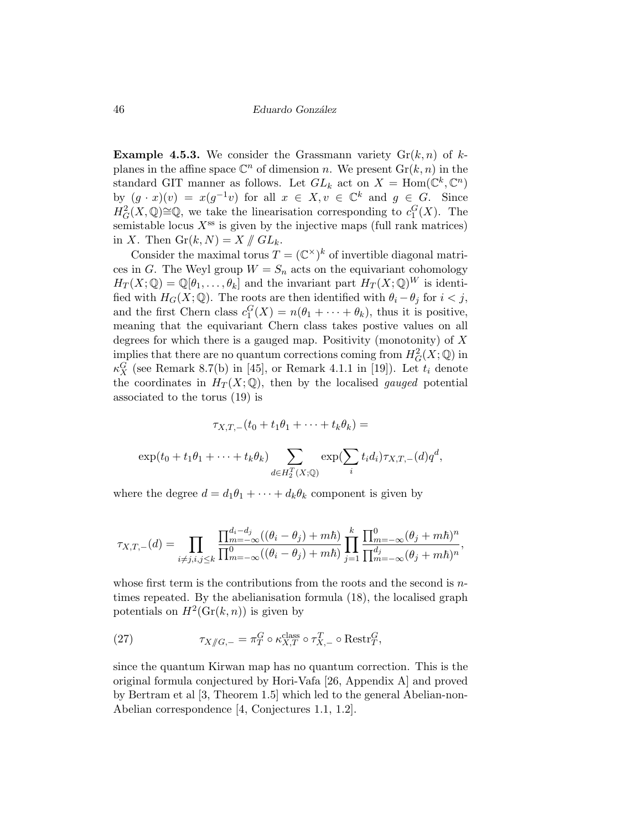**Example 4.5.3.** We consider the Grassmann variety  $\text{Gr}(k, n)$  of kplanes in the affine space  $\mathbb{C}^n$  of dimension n. We present  $\mathrm{Gr}(k,n)$  in the standard GIT manner as follows. Let  $GL_k$  act on  $X = \text{Hom}(\mathbb{C}^k, \mathbb{C}^n)$ by  $(g \cdot x)(v) = x(g^{-1}v)$  for all  $x \in X, v \in \mathbb{C}^k$  and  $g \in G$ . Since  $H^2_G(X,\mathbb{Q})\cong\mathbb{Q}$ , we take the linearisation corresponding to  $c_1^G(X)$ . The semistable locus  $X^{\text{ss}}$  is given by the injective maps (full rank matrices) in X. Then  $\mathrm{Gr}(k,N)=X/\!\!/ G L_k$ .

Consider the maximal torus  $T = (\mathbb{C}^{\times})^k$  of invertible diagonal matrices in G. The Weyl group  $W = S_n$  acts on the equivariant cohomology  $H_T(X; \mathbb{Q}) = \mathbb{Q}[\theta_1, \dots, \theta_k]$  and the invariant part  $H_T(X; \mathbb{Q})^W$  is identified with  $H_G(X; \mathbb{Q})$ . The roots are then identified with  $\theta_i - \theta_j$  for  $i < j$ , and the first Chern class  $c_1^G(X) = n(\theta_1 + \cdots + \theta_k)$ , thus it is positive, meaning that the equivariant Chern class takes postive values on all degrees for which there is a gauged map. Positivity (monotonity) of  $X$ implies that there are no quantum corrections coming from  $H^2_G(X; \mathbb{Q})$  in  $\kappa_X^G$  (see Remark 8.7(b) in [45], or Remark 4.1.1 in [19]). Let  $t_i$  denote the coordinates in  $H_T(X; \mathbb{Q})$ , then by the localised *gauged* potential associated to the torus (19) is

$$
\tau_{X,T,-}(t_0+t_1\theta_1+\cdots+t_k\theta_k) =
$$
  

$$
\exp(t_0+t_1\theta_1+\cdots+t_k\theta_k)\sum_{d\in H_2^T(X;\mathbb{Q})}\exp(\sum_i t_i d_i)\tau_{X,T,-}(d)q^d,
$$

where the degree  $d = d_1 \theta_1 + \cdots + d_k \theta_k$  component is given by

$$
\tau_{X,T,-}(d) = \prod_{i \neq j, i, j \leq k} \frac{\prod_{m=-\infty}^{d_i - d_j} ((\theta_i - \theta_j) + m\hbar)}{\prod_{m=-\infty}^{0} ((\theta_i - \theta_j) + m\hbar)} \prod_{j=1}^{k} \frac{\prod_{m=-\infty}^{0} (\theta_j + m\hbar)^n}{\prod_{m=-\infty}^{d_j} (\theta_j + m\hbar)^n},
$$

whose first term is the contributions from the roots and the second is ntimes repeated. By the abelianisation formula (18), the localised graph potentials on  $H^2(\mathrm{Gr}(k,n))$  is given by

(27) 
$$
\tau_{X/\!\!/G,-} = \pi_T^G \circ \kappa_{X,T}^{\text{class}} \circ \tau_{X,-}^T \circ \text{Restr}_T^G,
$$

since the quantum Kirwan map has no quantum correction. This is the original formula conjectured by Hori-Vafa [26, Appendix A] and proved by Bertram et al [3, Theorem 1.5] which led to the general Abelian-non-Abelian correspondence [4, Conjectures 1.1, 1.2].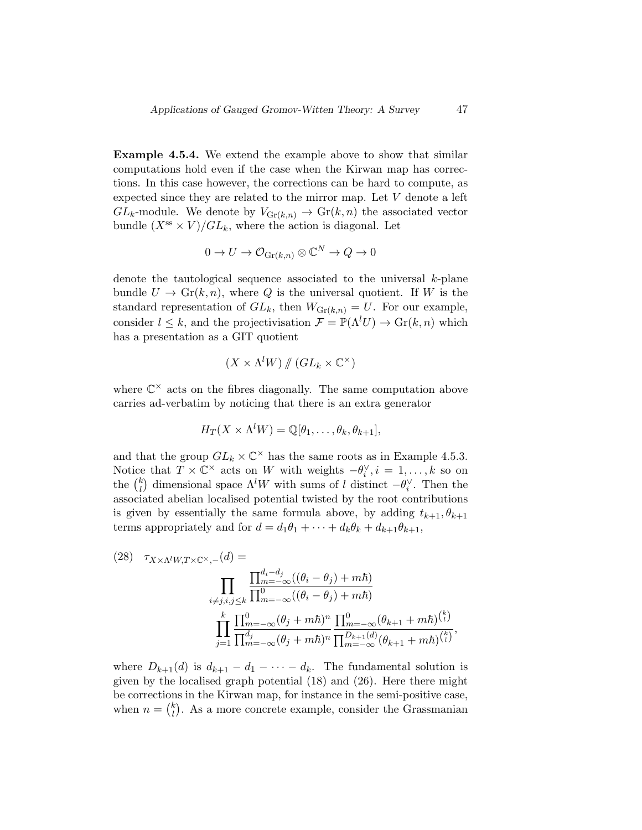Example 4.5.4. We extend the example above to show that similar computations hold even if the case when the Kirwan map has corrections. In this case however, the corrections can be hard to compute, as expected since they are related to the mirror map. Let V denote a left  $GL_k$ -module. We denote by  $V_{\text{Gr}(k,n)} \to \text{Gr}(k,n)$  the associated vector bundle  $(X^{ss} \times V)/GL_k$ , where the action is diagonal. Let

$$
0 \to U \to \mathcal{O}_{\text{Gr}(k,n)} \otimes \mathbb{C}^N \to Q \to 0
$$

denote the tautological sequence associated to the universal  $k$ -plane bundle  $U \to Gr(k, n)$ , where Q is the universal quotient. If W is the standard representation of  $GL_k$ , then  $W_{\text{Gr}(k,n)} = U$ . For our example, consider  $l \leq k$ , and the projectivisation  $\mathcal{F} = \mathbb{P}(\Lambda^l U) \to \text{Gr}(k, n)$  which has a presentation as a GIT quotient

$$
(X \times \Lambda^l W) \mathbin{/\!\!/} (GL_k \times \mathbb{C}^\times)
$$

where  $\mathbb{C}^{\times}$  acts on the fibres diagonally. The same computation above carries ad-verbatim by noticing that there is an extra generator

$$
H_T(X \times \Lambda^l W) = \mathbb{Q}[\theta_1, \ldots, \theta_k, \theta_{k+1}],
$$

and that the group  $GL_k \times \mathbb{C}^\times$  has the same roots as in Example 4.5.3. Notice that  $T \times \mathbb{C}^{\times}$  acts on W with weights  $-\theta_i^{\vee}, i = 1, ..., k$  so on the  $\binom{k}{l}$  $\lambda_l^k$  dimensional space  $\Lambda^l W$  with sums of l distinct  $-\theta_l^{\vee}$ . Then the associated abelian localised potential twisted by the root contributions is given by essentially the same formula above, by adding  $t_{k+1}, \theta_{k+1}$ terms appropriately and for  $d = d_1\theta_1 + \cdots + d_k\theta_k + d_{k+1}\theta_{k+1}$ ,

(28) 
$$
\tau_{X \times \Lambda^l W, T \times \mathbb{C}^{\times}, -}(d) = \prod_{i \neq j, i, j \leq k} \frac{\prod_{m=-\infty}^{d_i - d_j} ((\theta_i - \theta_j) + m\hbar)}{\prod_{i \neq j, i, j \leq k}^{0} \prod_{m=-\infty}^{0} ((\theta_i - \theta_j) + m\hbar)}
$$

$$
\prod_{j=1}^k \frac{\prod_{m=-\infty}^{0} (\theta_j + m\hbar)^n}{\prod_{m=-\infty}^{d_j} (\theta_j + m\hbar)^n} \frac{\prod_{m=-\infty}^{0} (\theta_{k+1} + m\hbar)^{\binom{k}{l}}}{\prod_{m=-\infty}^{m=-\infty} (\theta_{k+1} + m\hbar)^{\binom{k}{l}}},
$$

where  $D_{k+1}(d)$  is  $d_{k+1} - d_1 - \cdots - d_k$ . The fundamental solution is given by the localised graph potential (18) and (26). Here there might be corrections in the Kirwan map, for instance in the semi-positive case, when  $n = \binom{k}{l}$  $\binom{k}{l}$ . As a more concrete example, consider the Grassmanian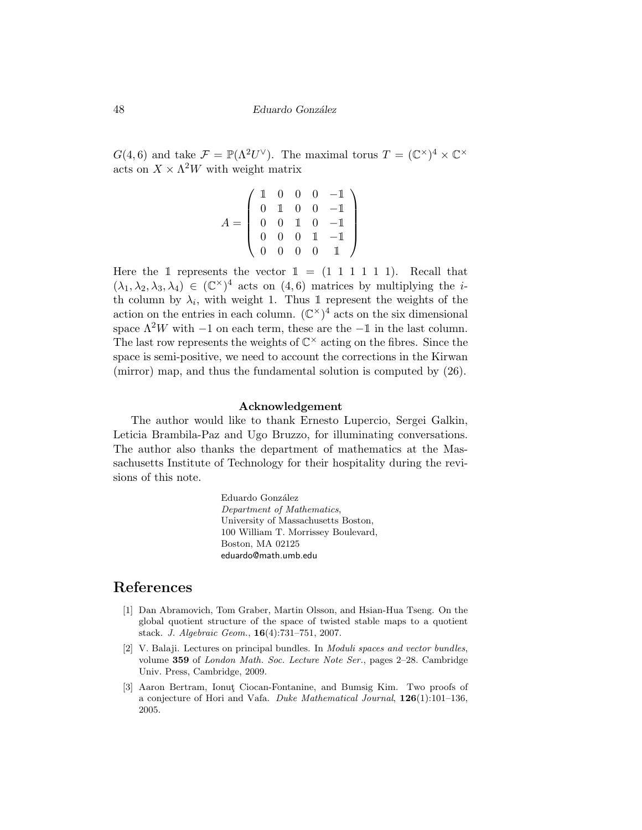$G(4,6)$  and take  $\mathcal{F} = \mathbb{P}(\Lambda^2 U^{\vee})$ . The maximal torus  $T = (\mathbb{C}^{\times})^4 \times \mathbb{C}^{\times}$ acts on  $X \times \Lambda^2 W$  with weight matrix

$$
A = \left(\begin{array}{cccc} 1 & 0 & 0 & 0 & -1 \\ 0 & 1 & 0 & 0 & -1 \\ 0 & 0 & 1 & 0 & -1 \\ 0 & 0 & 0 & 1 & -1 \\ 0 & 0 & 0 & 0 & 1 \end{array}\right)
$$

Here the 1 represents the vector  $1 = (1 \ 1 \ 1 \ 1 \ 1 \ 1)$ . Recall that  $(\lambda_1, \lambda_2, \lambda_3, \lambda_4) \in (\mathbb{C}^{\times})^4$  acts on  $(4, 6)$  matrices by multiplying the *i*th column by  $\lambda_i$ , with weight 1. Thus 1 represent the weights of the action on the entries in each column.  $(\mathbb{C}^{\times})^4$  acts on the six dimensional space  $\Lambda^2 W$  with −1 on each term, these are the −1 in the last column. The last row represents the weights of  $\mathbb{C}^{\times}$  acting on the fibres. Since the space is semi-positive, we need to account the corrections in the Kirwan (mirror) map, and thus the fundamental solution is computed by (26).

### Acknowledgement

The author would like to thank Ernesto Lupercio, Sergei Galkin, Leticia Brambila-Paz and Ugo Bruzzo, for illuminating conversations. The author also thanks the department of mathematics at the Massachusetts Institute of Technology for their hospitality during the revisions of this note.

> Eduardo González Department of Mathematics, University of Massachusetts Boston, 100 William T. Morrissey Boulevard, Boston, MA 02125 eduardo@math.umb.edu

# References

- [1] Dan Abramovich, Tom Graber, Martin Olsson, and Hsian-Hua Tseng. On the global quotient structure of the space of twisted stable maps to a quotient stack. J. Algebraic Geom., 16(4):731–751, 2007.
- [2] V. Balaji. Lectures on principal bundles. In Moduli spaces and vector bundles, volume 359 of London Math. Soc. Lecture Note Ser., pages 2-28. Cambridge Univ. Press, Cambridge, 2009.
- [3] Aaron Bertram, Ionut Ciocan-Fontanine, and Bumsig Kim. Two proofs of a conjecture of Hori and Vafa. Duke Mathematical Journal, 126(1):101–136, 2005.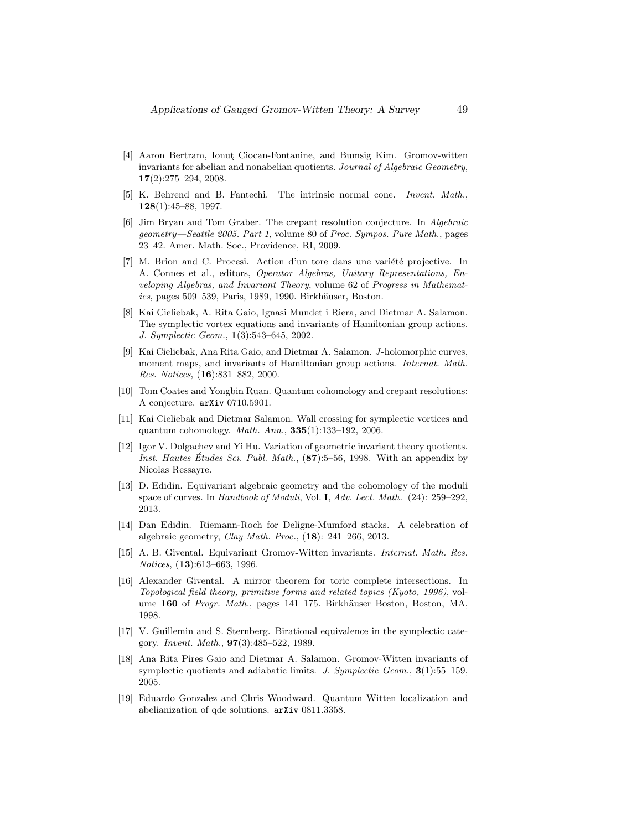- [4] Aaron Bertram, Ionut Ciocan-Fontanine, and Bumsig Kim. Gromov-witten invariants for abelian and nonabelian quotients. Journal of Algebraic Geometry, 17(2):275–294, 2008.
- [5] K. Behrend and B. Fantechi. The intrinsic normal cone. Invent. Math., 128(1):45–88, 1997.
- [6] Jim Bryan and Tom Graber. The crepant resolution conjecture. In Algebraic geometry—Seattle 2005. Part 1, volume 80 of Proc. Sympos. Pure Math., pages 23–42. Amer. Math. Soc., Providence, RI, 2009.
- [7] M. Brion and C. Procesi. Action d'un tore dans une variété projective. In A. Connes et al., editors, Operator Algebras, Unitary Representations, Enveloping Algebras, and Invariant Theory, volume 62 of Progress in Mathemat $ics, pages 509-539, Paris, 1989, 1990. Birkhäuser, Boston.$
- [8] Kai Cieliebak, A. Rita Gaio, Ignasi Mundet i Riera, and Dietmar A. Salamon. The symplectic vortex equations and invariants of Hamiltonian group actions. J. Symplectic Geom., 1(3):543–645, 2002.
- [9] Kai Cieliebak, Ana Rita Gaio, and Dietmar A. Salamon. J-holomorphic curves, moment maps, and invariants of Hamiltonian group actions. Internat. Math. Res. Notices, (16):831–882, 2000.
- [10] Tom Coates and Yongbin Ruan. Quantum cohomology and crepant resolutions: A conjecture. arXiv 0710.5901.
- [11] Kai Cieliebak and Dietmar Salamon. Wall crossing for symplectic vortices and quantum cohomology. Math. Ann., 335(1):133–192, 2006.
- [12] Igor V. Dolgachev and Yi Hu. Variation of geometric invariant theory quotients. Inst. Hautes Etudes Sci. Publ. Math.,  $(87):5-56$ , 1998. With an appendix by Nicolas Ressayre.
- [13] D. Edidin. Equivariant algebraic geometry and the cohomology of the moduli space of curves. In Handbook of Moduli, Vol. I, Adv. Lect. Math. (24): 259–292, 2013.
- [14] Dan Edidin. Riemann-Roch for Deligne-Mumford stacks. A celebration of algebraic geometry, Clay Math. Proc., (18): 241–266, 2013.
- [15] A. B. Givental. Equivariant Gromov-Witten invariants. Internat. Math. Res. Notices, (13):613–663, 1996.
- [16] Alexander Givental. A mirror theorem for toric complete intersections. In Topological field theory, primitive forms and related topics (Kyoto, 1996), volume 160 of Progr. Math., pages 141–175. Birkhäuser Boston, Boston, MA, 1998.
- [17] V. Guillemin and S. Sternberg. Birational equivalence in the symplectic category. Invent. Math., 97(3):485–522, 1989.
- [18] Ana Rita Pires Gaio and Dietmar A. Salamon. Gromov-Witten invariants of symplectic quotients and adiabatic limits. J. Symplectic Geom.,  $3(1):55-159$ , 2005.
- [19] Eduardo Gonzalez and Chris Woodward. Quantum Witten localization and abelianization of qde solutions. arXiv 0811.3358.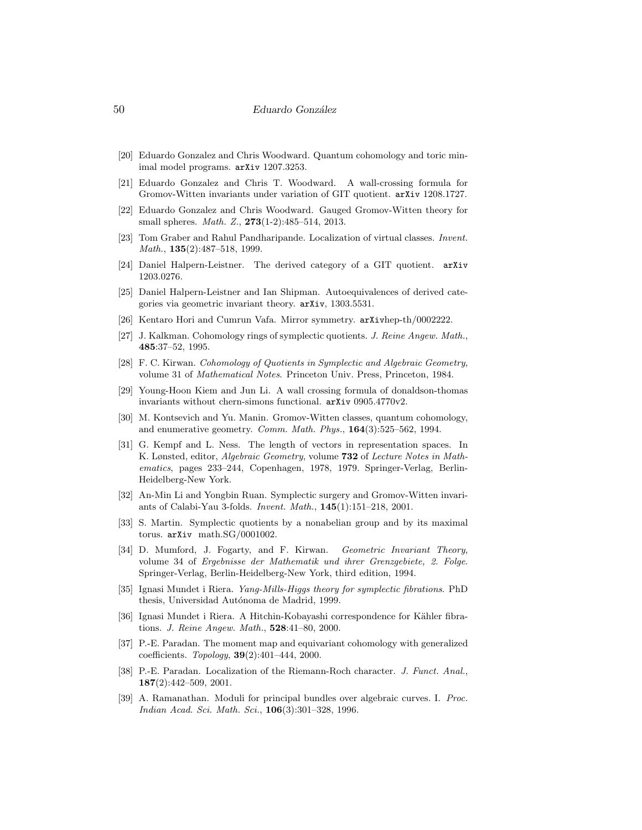- [20] Eduardo Gonzalez and Chris Woodward. Quantum cohomology and toric minimal model programs. arXiv 1207.3253.
- [21] Eduardo Gonzalez and Chris T. Woodward. A wall-crossing formula for Gromov-Witten invariants under variation of GIT quotient. arXiv 1208.1727.
- [22] Eduardo Gonzalez and Chris Woodward. Gauged Gromov-Witten theory for small spheres. Math. Z., 273(1-2):485–514, 2013.
- [23] Tom Graber and Rahul Pandharipande. Localization of virtual classes. Invent. Math., **135**(2):487-518, 1999.
- [24] Daniel Halpern-Leistner. The derived category of a GIT quotient. arXiv 1203.0276.
- [25] Daniel Halpern-Leistner and Ian Shipman. Autoequivalences of derived categories via geometric invariant theory. arXiv, 1303.5531.
- [26] Kentaro Hori and Cumrun Vafa. Mirror symmetry. arXivhep-th/0002222.
- [27] J. Kalkman. Cohomology rings of symplectic quotients. J. Reine Angew. Math., 485:37–52, 1995.
- [28] F. C. Kirwan. Cohomology of Quotients in Symplectic and Algebraic Geometry, volume 31 of Mathematical Notes. Princeton Univ. Press, Princeton, 1984.
- [29] Young-Hoon Kiem and Jun Li. A wall crossing formula of donaldson-thomas invariants without chern-simons functional. arXiv 0905.4770v2.
- [30] M. Kontsevich and Yu. Manin. Gromov-Witten classes, quantum cohomology, and enumerative geometry. Comm. Math. Phys., 164(3):525–562, 1994.
- [31] G. Kempf and L. Ness. The length of vectors in representation spaces. In K. Lønsted, editor, Algebraic Geometry, volume 732 of Lecture Notes in Mathematics, pages 233–244, Copenhagen, 1978, 1979. Springer-Verlag, Berlin-Heidelberg-New York.
- [32] An-Min Li and Yongbin Ruan. Symplectic surgery and Gromov-Witten invariants of Calabi-Yau 3-folds. Invent. Math., 145(1):151–218, 2001.
- [33] S. Martin. Symplectic quotients by a nonabelian group and by its maximal torus. arXiv math.SG/0001002.
- [34] D. Mumford, J. Fogarty, and F. Kirwan. Geometric Invariant Theory, volume 34 of Ergebnisse der Mathematik und ihrer Grenzgebiete, 2. Folge. Springer-Verlag, Berlin-Heidelberg-New York, third edition, 1994.
- [35] Ignasi Mundet i Riera. Yang-Mills-Higgs theory for symplectic fibrations. PhD thesis, Universidad Autónoma de Madrid, 1999.
- [36] Ignasi Mundet i Riera. A Hitchin-Kobayashi correspondence for Kähler fibrations. J. Reine Angew. Math., 528:41–80, 2000.
- [37] P.-E. Paradan. The moment map and equivariant cohomology with generalized coefficients. Topology, 39(2):401–444, 2000.
- [38] P.-E. Paradan. Localization of the Riemann-Roch character. J. Funct. Anal., 187(2):442–509, 2001.
- [39] A. Ramanathan. Moduli for principal bundles over algebraic curves. I. Proc. Indian Acad. Sci. Math. Sci., 106(3):301–328, 1996.